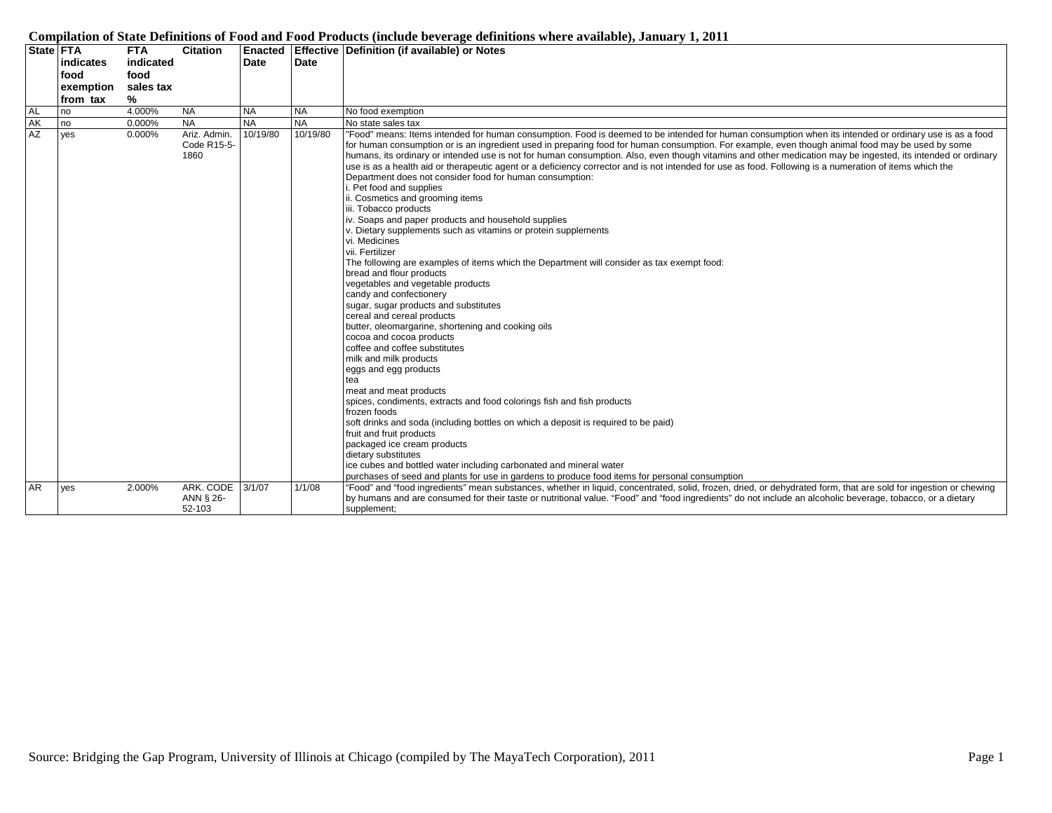|           |                  |            |                 |           |           | Companion of DMM Deminions of I god may I god I founces (menue servicing wenthroms when e a change of content                                                    |
|-----------|------------------|------------|-----------------|-----------|-----------|------------------------------------------------------------------------------------------------------------------------------------------------------------------|
|           | <b>State FTA</b> | <b>FTA</b> | <b>Citation</b> |           |           | Enacted   Effective   Definition (if available) or Notes                                                                                                         |
|           | indicates        | indicated  |                 | Date      | Date      |                                                                                                                                                                  |
|           | food             | food       |                 |           |           |                                                                                                                                                                  |
|           | exemption        | sales tax  |                 |           |           |                                                                                                                                                                  |
|           | from tax         | %          |                 |           |           |                                                                                                                                                                  |
| AL<br>AK  | no               | 4.000%     | <b>NA</b>       | <b>NA</b> | <b>NA</b> | No food exemption                                                                                                                                                |
|           | no               | 0.000%     | <b>NA</b>       | <b>NA</b> | <b>NA</b> | No state sales tax                                                                                                                                               |
| AZ        | yes              | 0.000%     | Ariz. Admin.    | 10/19/80  | 10/19/80  | "Food" means: Items intended for human consumption. Food is deemed to be intended for human consumption when its intended or ordinary use is as a food           |
|           |                  |            | Code R15-5-     |           |           | for human consumption or is an ingredient used in preparing food for human consumption. For example, even though animal food may be used by some                 |
|           |                  |            | 1860            |           |           | humans, its ordinary or intended use is not for human consumption. Also, even though vitamins and other medication may be ingested, its intended or ordinary     |
|           |                  |            |                 |           |           | use is as a health aid or therapeutic agent or a deficiency corrector and is not intended for use as food. Following is a numeration of items which the          |
|           |                  |            |                 |           |           | Department does not consider food for human consumption:                                                                                                         |
|           |                  |            |                 |           |           | . Pet food and supplies                                                                                                                                          |
|           |                  |            |                 |           |           | ii. Cosmetics and grooming items                                                                                                                                 |
|           |                  |            |                 |           |           | iii. Tobacco products                                                                                                                                            |
|           |                  |            |                 |           |           | iv. Soaps and paper products and household supplies                                                                                                              |
|           |                  |            |                 |           |           | v. Dietary supplements such as vitamins or protein supplements                                                                                                   |
|           |                  |            |                 |           |           | vi. Medicines                                                                                                                                                    |
|           |                  |            |                 |           |           | vii. Fertilizer                                                                                                                                                  |
|           |                  |            |                 |           |           | The following are examples of items which the Department will consider as tax exempt food:                                                                       |
|           |                  |            |                 |           |           | bread and flour products                                                                                                                                         |
|           |                  |            |                 |           |           | vegetables and vegetable products                                                                                                                                |
|           |                  |            |                 |           |           | candy and confectionery                                                                                                                                          |
|           |                  |            |                 |           |           | sugar, sugar products and substitutes                                                                                                                            |
|           |                  |            |                 |           |           | cereal and cereal products                                                                                                                                       |
|           |                  |            |                 |           |           | butter, oleomargarine, shortening and cooking oils<br>cocoa and cocoa products                                                                                   |
|           |                  |            |                 |           |           | coffee and coffee substitutes                                                                                                                                    |
|           |                  |            |                 |           |           |                                                                                                                                                                  |
|           |                  |            |                 |           |           | milk and milk products                                                                                                                                           |
|           |                  |            |                 |           |           | eggs and egg products                                                                                                                                            |
|           |                  |            |                 |           |           | tea<br>meat and meat products                                                                                                                                    |
|           |                  |            |                 |           |           | spices, condiments, extracts and food colorings fish and fish products                                                                                           |
|           |                  |            |                 |           |           | frozen foods                                                                                                                                                     |
|           |                  |            |                 |           |           | soft drinks and soda (including bottles on which a deposit is required to be paid)                                                                               |
|           |                  |            |                 |           |           | fruit and fruit products                                                                                                                                         |
|           |                  |            |                 |           |           | packaged ice cream products                                                                                                                                      |
|           |                  |            |                 |           |           | dietary substitutes                                                                                                                                              |
|           |                  |            |                 |           |           | ice cubes and bottled water including carbonated and mineral water                                                                                               |
|           |                  |            |                 |           |           | purchases of seed and plants for use in gardens to produce food items for personal consumption                                                                   |
| <b>AR</b> | yes              | 2.000%     | ARK. CODE       | 3/1/07    | 1/1/08    | "Food" and "food ingredients" mean substances, whether in liquid, concentrated, solid, frozen, dried, or dehydrated form, that are sold for ingestion or chewing |
|           |                  |            | ANN § 26-       |           |           | by humans and are consumed for their taste or nutritional value. "Food" and "food ingredients" do not include an alcoholic beverage, tobacco, or a dietary       |
|           |                  |            | 52-103          |           |           | supplement;                                                                                                                                                      |
|           |                  |            |                 |           |           |                                                                                                                                                                  |

## **Compilation of State Definitions of Food and Food Products (include beverage definitions where available), January 1, 2011**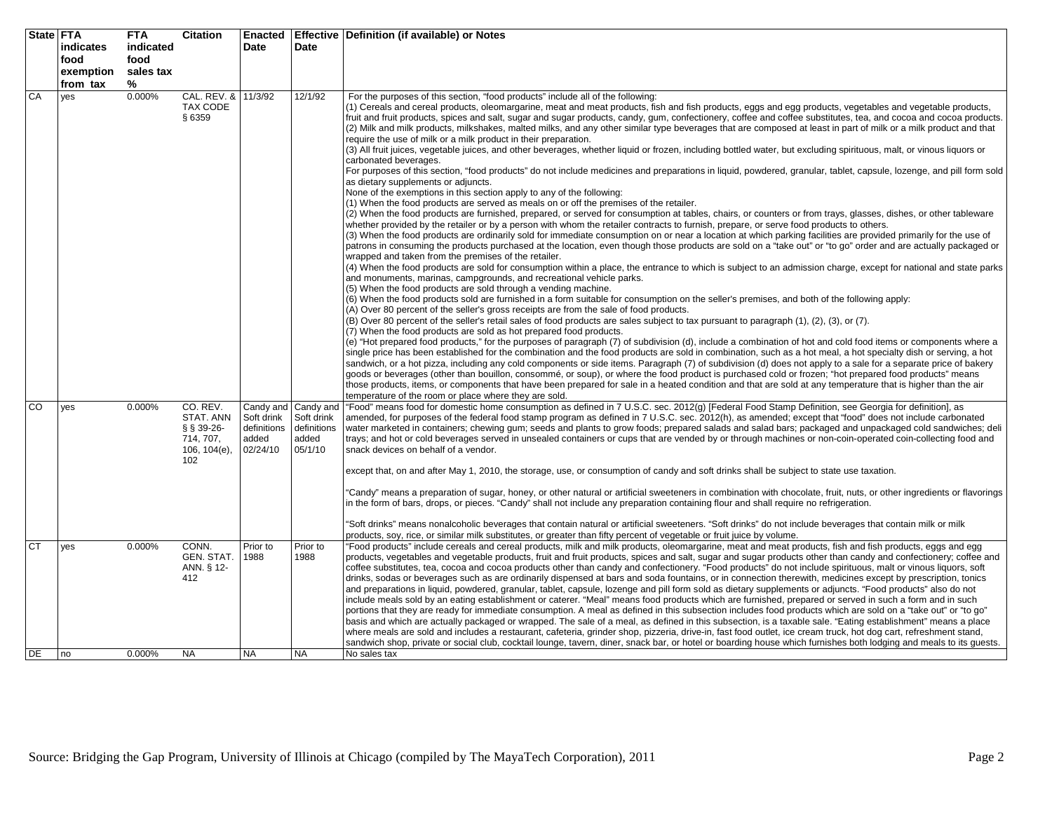|           | State   FTA<br>indicates<br>food<br>exemption | <b>FTA</b><br>indicated<br>food<br>sales tax | <b>Citation</b>                                                         | <b>Enacted</b><br>Date                                      | Date                                                       | Effective   Definition (if available) or Notes                                                                                                                                                                                                                                                                                                                                                                                                                                                                                                                                                                                                                                                                                                                                                                                                                                                                                                                                                                                                                                                                                                                                                                                                                                                                                                                                                                                                                                                                                                                                                                                                                                                                                                                                                                                                                                                                                                                                                                                                                                                                                                                                                                                                                                                                                                                                                                                                                                                                                                                                                                                                                                                                                                                                                                                                                                                                                                                                                                                                                                                                                                                                                                                                                                                                                                                                                                                                                                                                                                                                                                            |
|-----------|-----------------------------------------------|----------------------------------------------|-------------------------------------------------------------------------|-------------------------------------------------------------|------------------------------------------------------------|---------------------------------------------------------------------------------------------------------------------------------------------------------------------------------------------------------------------------------------------------------------------------------------------------------------------------------------------------------------------------------------------------------------------------------------------------------------------------------------------------------------------------------------------------------------------------------------------------------------------------------------------------------------------------------------------------------------------------------------------------------------------------------------------------------------------------------------------------------------------------------------------------------------------------------------------------------------------------------------------------------------------------------------------------------------------------------------------------------------------------------------------------------------------------------------------------------------------------------------------------------------------------------------------------------------------------------------------------------------------------------------------------------------------------------------------------------------------------------------------------------------------------------------------------------------------------------------------------------------------------------------------------------------------------------------------------------------------------------------------------------------------------------------------------------------------------------------------------------------------------------------------------------------------------------------------------------------------------------------------------------------------------------------------------------------------------------------------------------------------------------------------------------------------------------------------------------------------------------------------------------------------------------------------------------------------------------------------------------------------------------------------------------------------------------------------------------------------------------------------------------------------------------------------------------------------------------------------------------------------------------------------------------------------------------------------------------------------------------------------------------------------------------------------------------------------------------------------------------------------------------------------------------------------------------------------------------------------------------------------------------------------------------------------------------------------------------------------------------------------------------------------------------------------------------------------------------------------------------------------------------------------------------------------------------------------------------------------------------------------------------------------------------------------------------------------------------------------------------------------------------------------------------------------------------------------------------------------------------------------------|
|           | from tax                                      | %                                            |                                                                         |                                                             |                                                            |                                                                                                                                                                                                                                                                                                                                                                                                                                                                                                                                                                                                                                                                                                                                                                                                                                                                                                                                                                                                                                                                                                                                                                                                                                                                                                                                                                                                                                                                                                                                                                                                                                                                                                                                                                                                                                                                                                                                                                                                                                                                                                                                                                                                                                                                                                                                                                                                                                                                                                                                                                                                                                                                                                                                                                                                                                                                                                                                                                                                                                                                                                                                                                                                                                                                                                                                                                                                                                                                                                                                                                                                                           |
| CA        | yes                                           | 0.000%                                       | CAL. REV. &<br><b>TAX CODE</b><br>§ 6359                                | 11/3/92                                                     | 12/1/92                                                    | For the purposes of this section, "food products" include all of the following:<br>(1) Cereals and cereal products, oleomargarine, meat and meat products, fish and fish products, eggs and egg products, vegetables and vegetable products,<br>fruit and fruit products, spices and salt, sugar and sugar products, candy, gum, confectionery, coffee and coffee substitutes, tea, and cocoa and cocoa products.<br>(2) Milk and milk products, milkshakes, malted milks, and any other similar type beverages that are composed at least in part of milk or a milk product and that<br>require the use of milk or a milk product in their preparation.<br>(3) All fruit juices, vegetable juices, and other beverages, whether liguid or frozen, including bottled water, but excluding spirituous, malt, or vinous liguors or<br>carbonated beverages.<br>For purposes of this section, "food products" do not include medicines and preparations in liquid, powdered, granular, tablet, capsule, lozenge, and pill form sold<br>as dietary supplements or adjuncts.<br>None of the exemptions in this section apply to any of the following:<br>(1) When the food products are served as meals on or off the premises of the retailer.<br>(2) When the food products are furnished, prepared, or served for consumption at tables, chairs, or counters or from trays, glasses, dishes, or other tableware<br>whether provided by the retailer or by a person with whom the retailer contracts to furnish, prepare, or serve food products to others.<br>(3) When the food products are ordinarily sold for immediate consumption on or near a location at which parking facilities are provided primarily for the use of<br>patrons in consuming the products purchased at the location, even though those products are sold on a "take out" or "to go" order and are actually packaged or<br>wrapped and taken from the premises of the retailer.<br>(4) When the food products are sold for consumption within a place, the entrance to which is subject to an admission charge, except for national and state parks<br>and monuments, marinas, campgrounds, and recreational vehicle parks.<br>(5) When the food products are sold through a vending machine.<br>(6) When the food products sold are furnished in a form suitable for consumption on the seller's premises, and both of the following apply:<br>(A) Over 80 percent of the seller's gross receipts are from the sale of food products.<br>(B) Over 80 percent of the seller's retail sales of food products are sales subject to tax pursuant to paragraph (1), (2), (3), or (7).<br>(7) When the food products are sold as hot prepared food products.<br>(e) "Hot prepared food products," for the purposes of paragraph (7) of subdivision (d), include a combination of hot and cold food items or components where a<br>single price has been established for the combination and the food products are sold in combination, such as a hot meal, a hot specialty dish or serving, a hot<br>sandwich, or a hot pizza, including any cold components or side items. Paragraph (7) of subdivision (d) does not apply to a sale for a separate price of bakery<br>goods or beverages (other than bouillon, consommé, or soup), or where the food product is purchased cold or frozen; "hot prepared food products" means<br>those products, items, or components that have been prepared for sale in a heated condition and that are sold at any temperature that is higher than the air<br>temperature of the room or place where they are sold. |
| CO        | yes                                           | 0.000%                                       | CO. REV.<br>STAT. ANN<br>§ § 39-26-<br>714, 707,<br>106, 104(e),<br>102 | Candy and<br>Soft drink<br>definitions<br>added<br>02/24/10 | Candy and<br>Soft drink<br>definitions<br>added<br>05/1/10 | "Food" means food for domestic home consumption as defined in 7 U.S.C. sec. 2012(g) [Federal Food Stamp Definition, see Georgia for definition], as<br>amended, for purposes of the federal food stamp program as defined in 7 U.S.C. sec. 2012(h), as amended; except that "food" does not include carbonated<br>water marketed in containers; chewing gum; seeds and plants to grow foods; prepared salads and salad bars; packaged and unpackaged cold sandwiches; deli<br>trays; and hot or cold beverages served in unsealed containers or cups that are vended by or through machines or non-coin-operated coin-collecting food and<br>snack devices on behalf of a vendor.<br>except that, on and after May 1, 2010, the storage, use, or consumption of candy and soft drinks shall be subject to state use taxation.<br>"Candy" means a preparation of sugar, honey, or other natural or artificial sweeteners in combination with chocolate, fruit, nuts, or other ingredients or flavorings<br>in the form of bars, drops, or pieces. "Candy" shall not include any preparation containing flour and shall require no refrigeration.<br>"Soft drinks" means nonalcoholic beverages that contain natural or artificial sweeteners. "Soft drinks" do not include beverages that contain milk or milk<br>products, soy, rice, or similar milk substitutes, or greater than fifty percent of vegetable or fruit juice by volume.                                                                                                                                                                                                                                                                                                                                                                                                                                                                                                                                                                                                                                                                                                                                                                                                                                                                                                                                                                                                                                                                                                                                                                                                                                                                                                                                                                                                                                                                                                                                                                                                                                                                                                                                                                                                                                                                                                                                                                                                                                                                                                                                                                                   |
| CT        | yes                                           | 0.000%                                       | CONN.<br>GEN. STAT.<br>ANN. § 12-<br>412                                | Prior to<br>1988                                            | Prior to<br>1988                                           | "Food products" include cereals and cereal products, milk and milk products, oleomargarine, meat and meat products, fish and fish products, eggs and egg<br>products, vegetables and vegetable products, fruit and fruit products, spices and salt, sugar and sugar products other than candy and confectionery; coffee and<br>coffee substitutes, tea, cocoa and cocoa products other than candy and confectionery. "Food products" do not include spirituous, malt or vinous liquors, soft<br>drinks, sodas or beverages such as are ordinarily dispensed at bars and soda fountains, or in connection therewith, medicines except by prescription, tonics<br>and preparations in liquid, powdered, granular, tablet, capsule, lozenge and pill form sold as dietary supplements or adjuncts. "Food products" also do not<br>include meals sold by an eating establishment or caterer. "Meal" means food products which are furnished, prepared or served in such a form and in such<br>portions that they are ready for immediate consumption. A meal as defined in this subsection includes food products which are sold on a "take out" or "to go"<br>basis and which are actually packaged or wrapped. The sale of a meal, as defined in this subsection, is a taxable sale. "Eating establishment" means a place<br>where meals are sold and includes a restaurant, cafeteria, grinder shop, pizzeria, drive-in, fast food outlet, ice cream truck, hot dog cart, refreshment stand,<br>sandwich shop, private or social club, cocktail lounge, tavern, diner, snack bar, or hotel or boarding house which furnishes both lodging and meals to its quests.                                                                                                                                                                                                                                                                                                                                                                                                                                                                                                                                                                                                                                                                                                                                                                                                                                                                                                                                                                                                                                                                                                                                                                                                                                                                                                                                                                                                                                                                                                                                                                                                                                                                                                                                                                                                                                                                                                                                                         |
| <b>DE</b> | I no                                          | 0.000%                                       | <b>NA</b>                                                               | <b>NA</b>                                                   | <b>NA</b>                                                  | No sales tax                                                                                                                                                                                                                                                                                                                                                                                                                                                                                                                                                                                                                                                                                                                                                                                                                                                                                                                                                                                                                                                                                                                                                                                                                                                                                                                                                                                                                                                                                                                                                                                                                                                                                                                                                                                                                                                                                                                                                                                                                                                                                                                                                                                                                                                                                                                                                                                                                                                                                                                                                                                                                                                                                                                                                                                                                                                                                                                                                                                                                                                                                                                                                                                                                                                                                                                                                                                                                                                                                                                                                                                                              |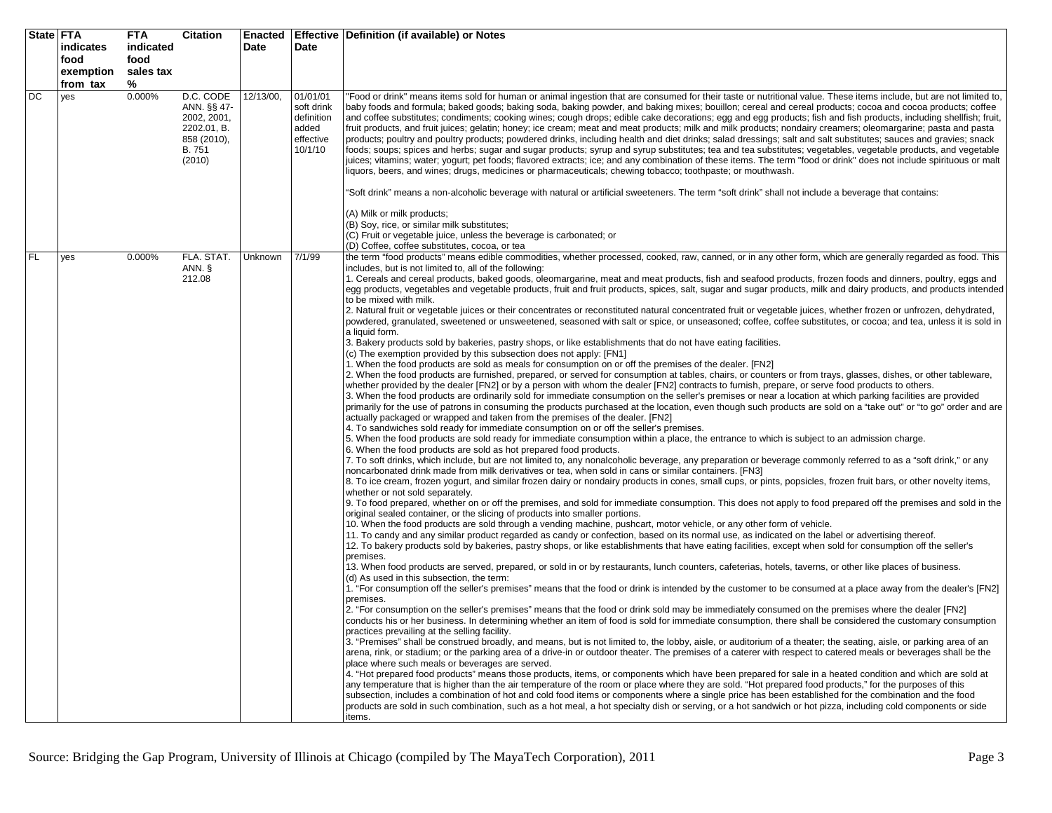| State   FTA |                  | <b>FTA</b> | <b>Citation</b>            | <b>Enacted</b> |                        | Effective   Definition (if available) or Notes                                                                                                                                                                                                                                                                                     |
|-------------|------------------|------------|----------------------------|----------------|------------------------|------------------------------------------------------------------------------------------------------------------------------------------------------------------------------------------------------------------------------------------------------------------------------------------------------------------------------------|
|             | <b>indicates</b> | indicated  |                            | Date           | Date                   |                                                                                                                                                                                                                                                                                                                                    |
|             | food             | food       |                            |                |                        |                                                                                                                                                                                                                                                                                                                                    |
|             | exemption        | sales tax  |                            |                |                        |                                                                                                                                                                                                                                                                                                                                    |
|             | from tax         | %          |                            |                |                        |                                                                                                                                                                                                                                                                                                                                    |
| DC          |                  | 0.000%     | D.C. CODE                  | 12/13/00,      |                        |                                                                                                                                                                                                                                                                                                                                    |
|             | yes              |            |                            |                | 01/01/01<br>soft drink | 'Food or drink" means items sold for human or animal ingestion that are consumed for their taste or nutritional value. These items include, but are not limited to,                                                                                                                                                                |
|             |                  |            | ANN. §§ 47-                |                | definition             | baby foods and formula; baked goods; baking soda, baking powder, and baking mixes; bouillon; cereal and cereal products; cocoa and cocoa products; coffee                                                                                                                                                                          |
|             |                  |            | 2002, 2001,                |                |                        | and coffee substitutes; condiments; cooking wines; cough drops; edible cake decorations; egg and egg products; fish and fish products, including shellfish; fruit,                                                                                                                                                                 |
|             |                  |            | 2202.01, B.<br>858 (2010), |                | added<br>effective     | fruit products, and fruit juices; gelatin; honey; ice cream; meat and meat products; milk and milk products; nondairy creamers; oleomargarine; pasta and pasta<br>products; poultry and poultry products; powdered drinks, including health and diet drinks; salad dressings; salt and salt substitutes; sauces and gravies; snack |
|             |                  |            | B. 751                     |                | 10/1/10                | foods; soups; spices and herbs; sugar and sugar products; syrup and syrup substitutes; tea and tea substitutes; vegetables, vegetable products, and vegetable                                                                                                                                                                      |
|             |                  |            | (2010)                     |                |                        | juices; vitamins; water; yogurt; pet foods; flavored extracts; ice; and any combination of these items. The term "food or drink" does not include spirituous or malt                                                                                                                                                               |
|             |                  |            |                            |                |                        | iquors, beers, and wines; drugs, medicines or pharmaceuticals; chewing tobacco; toothpaste; or mouthwash.                                                                                                                                                                                                                          |
|             |                  |            |                            |                |                        |                                                                                                                                                                                                                                                                                                                                    |
|             |                  |            |                            |                |                        | 'Soft drink" means a non-alcoholic beverage with natural or artificial sweeteners. The term "soft drink" shall not include a beverage that contains:                                                                                                                                                                               |
|             |                  |            |                            |                |                        |                                                                                                                                                                                                                                                                                                                                    |
|             |                  |            |                            |                |                        | (A) Milk or milk products;                                                                                                                                                                                                                                                                                                         |
|             |                  |            |                            |                |                        | (B) Soy, rice, or similar milk substitutes;                                                                                                                                                                                                                                                                                        |
|             |                  |            |                            |                |                        | (C) Fruit or vegetable juice, unless the beverage is carbonated; or                                                                                                                                                                                                                                                                |
|             |                  |            |                            |                |                        | (D) Coffee, coffee substitutes, cocoa, or tea                                                                                                                                                                                                                                                                                      |
| FL.         | yes              | 0.000%     | FLA. STAT.                 | Unknown        | 7/1/99                 | the term "food products" means edible commodities, whether processed, cooked, raw, canned, or in any other form, which are generally regarded as food. This                                                                                                                                                                        |
|             |                  |            | ANN. §                     |                |                        | includes, but is not limited to, all of the following:                                                                                                                                                                                                                                                                             |
|             |                  |            | 212.08                     |                |                        | 1. Cereals and cereal products, baked goods, oleomargarine, meat and meat products, fish and seafood products, frozen foods and dinners, poultry, eggs and                                                                                                                                                                         |
|             |                  |            |                            |                |                        | egg products, vegetables and vegetable products, fruit and fruit products, spices, salt, sugar and sugar products, milk and dairy products, and products intended                                                                                                                                                                  |
|             |                  |            |                            |                |                        | to be mixed with milk.                                                                                                                                                                                                                                                                                                             |
|             |                  |            |                            |                |                        | 2. Natural fruit or vegetable juices or their concentrates or reconstituted natural concentrated fruit or vegetable juices, whether frozen or unfrozen, dehydrated,                                                                                                                                                                |
|             |                  |            |                            |                |                        | powdered, granulated, sweetened or unsweetened, seasoned with salt or spice, or unseasoned; coffee, coffee substitutes, or cocoa; and tea, unless it is sold in                                                                                                                                                                    |
|             |                  |            |                            |                |                        | a liquid form.                                                                                                                                                                                                                                                                                                                     |
|             |                  |            |                            |                |                        | 3. Bakery products sold by bakeries, pastry shops, or like establishments that do not have eating facilities.                                                                                                                                                                                                                      |
|             |                  |            |                            |                |                        | (c) The exemption provided by this subsection does not apply: [FN1]                                                                                                                                                                                                                                                                |
|             |                  |            |                            |                |                        | 1. When the food products are sold as meals for consumption on or off the premises of the dealer. [FN2]                                                                                                                                                                                                                            |
|             |                  |            |                            |                |                        | 2. When the food products are furnished, prepared, or served for consumption at tables, chairs, or counters or from trays, glasses, dishes, or other tableware,                                                                                                                                                                    |
|             |                  |            |                            |                |                        | whether provided by the dealer [FN2] or by a person with whom the dealer [FN2] contracts to furnish, prepare, or serve food products to others.<br>3. When the food products are ordinarily sold for immediate consumption on the seller's premises or near a location at which parking facilities are provided                    |
|             |                  |            |                            |                |                        | primarily for the use of patrons in consuming the products purchased at the location, even though such products are sold on a "take out" or "to go" order and are                                                                                                                                                                  |
|             |                  |            |                            |                |                        | actually packaged or wrapped and taken from the premises of the dealer. [FN2]                                                                                                                                                                                                                                                      |
|             |                  |            |                            |                |                        | 4. To sandwiches sold ready for immediate consumption on or off the seller's premises.                                                                                                                                                                                                                                             |
|             |                  |            |                            |                |                        | 5. When the food products are sold ready for immediate consumption within a place, the entrance to which is subject to an admission charge.                                                                                                                                                                                        |
|             |                  |            |                            |                |                        | 6. When the food products are sold as hot prepared food products.                                                                                                                                                                                                                                                                  |
|             |                  |            |                            |                |                        | 7. To soft drinks, which include, but are not limited to, any nonalcoholic beverage, any preparation or beverage commonly referred to as a "soft drink," or any                                                                                                                                                                    |
|             |                  |            |                            |                |                        | noncarbonated drink made from milk derivatives or tea, when sold in cans or similar containers. [FN3]                                                                                                                                                                                                                              |
|             |                  |            |                            |                |                        | 8. To ice cream, frozen yogurt, and similar frozen dairy or nondairy products in cones, small cups, or pints, popsicles, frozen fruit bars, or other novelty items,                                                                                                                                                                |
|             |                  |            |                            |                |                        | whether or not sold separately.                                                                                                                                                                                                                                                                                                    |
|             |                  |            |                            |                |                        | 9. To food prepared, whether on or off the premises, and sold for immediate consumption. This does not apply to food prepared off the premises and sold in the                                                                                                                                                                     |
|             |                  |            |                            |                |                        | original sealed container, or the slicing of products into smaller portions.                                                                                                                                                                                                                                                       |
|             |                  |            |                            |                |                        | 10. When the food products are sold through a vending machine, pushcart, motor vehicle, or any other form of vehicle.                                                                                                                                                                                                              |
|             |                  |            |                            |                |                        | 11. To candy and any similar product regarded as candy or confection, based on its normal use, as indicated on the label or advertising thereof.                                                                                                                                                                                   |
|             |                  |            |                            |                |                        | 12. To bakery products sold by bakeries, pastry shops, or like establishments that have eating facilities, except when sold for consumption off the seller's<br>premises.                                                                                                                                                          |
|             |                  |            |                            |                |                        | 13. When food products are served, prepared, or sold in or by restaurants, lunch counters, cafeterias, hotels, taverns, or other like places of business.                                                                                                                                                                          |
|             |                  |            |                            |                |                        | (d) As used in this subsection, the term:                                                                                                                                                                                                                                                                                          |
|             |                  |            |                            |                |                        | 1. "For consumption off the seller's premises" means that the food or drink is intended by the customer to be consumed at a place away from the dealer's [FN2]                                                                                                                                                                     |
|             |                  |            |                            |                |                        | premises.                                                                                                                                                                                                                                                                                                                          |
|             |                  |            |                            |                |                        | 2. "For consumption on the seller's premises" means that the food or drink sold may be immediately consumed on the premises where the dealer [FN2]                                                                                                                                                                                 |
|             |                  |            |                            |                |                        | conducts his or her business. In determining whether an item of food is sold for immediate consumption, there shall be considered the customary consumption                                                                                                                                                                        |
|             |                  |            |                            |                |                        | practices prevailing at the selling facility.                                                                                                                                                                                                                                                                                      |
|             |                  |            |                            |                |                        | 3. "Premises" shall be construed broadly, and means, but is not limited to, the lobby, aisle, or auditorium of a theater; the seating, aisle, or parking area of an                                                                                                                                                                |
|             |                  |            |                            |                |                        | arena, rink, or stadium; or the parking area of a drive-in or outdoor theater. The premises of a caterer with respect to catered meals or beverages shall be the                                                                                                                                                                   |
|             |                  |            |                            |                |                        | place where such meals or beverages are served.                                                                                                                                                                                                                                                                                    |
|             |                  |            |                            |                |                        | 4. "Hot prepared food products" means those products, items, or components which have been prepared for sale in a heated condition and which are sold at                                                                                                                                                                           |
|             |                  |            |                            |                |                        | any temperature that is higher than the air temperature of the room or place where they are sold. "Hot prepared food products," for the purposes of this                                                                                                                                                                           |
|             |                  |            |                            |                |                        | subsection, includes a combination of hot and cold food items or components where a single price has been established for the combination and the food                                                                                                                                                                             |
|             |                  |            |                            |                |                        | products are sold in such combination, such as a hot meal, a hot specialty dish or serving, or a hot sandwich or hot pizza, including cold components or side                                                                                                                                                                      |
|             |                  |            |                            |                |                        | items.                                                                                                                                                                                                                                                                                                                             |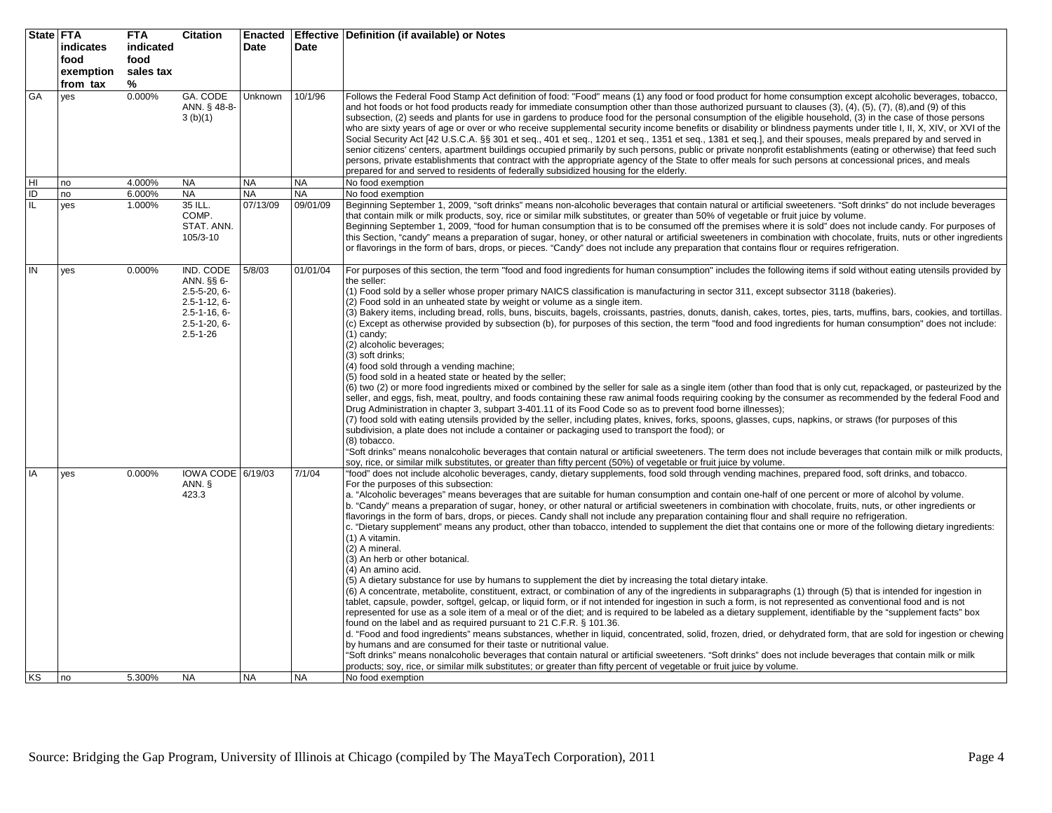| State FTA | indicates                     | <b>FTA</b><br>indicated | <b>Citation</b>                                                                                                                       | <b>Enacted</b><br>Date | Date      | Effective   Definition (if available) or Notes                                                                                                                                                                                                                                                                                                                                                                                                                                                                                                                                                                                                                                                                                                                                                                                                                                                                                                                                                                                                                                                                                                                                                                                                                                                                                                                                                                                                                                                                                                                                                                                                                                                                                                                                                                                                                                                                                                                                                                                                                                                                                                                      |
|-----------|-------------------------------|-------------------------|---------------------------------------------------------------------------------------------------------------------------------------|------------------------|-----------|---------------------------------------------------------------------------------------------------------------------------------------------------------------------------------------------------------------------------------------------------------------------------------------------------------------------------------------------------------------------------------------------------------------------------------------------------------------------------------------------------------------------------------------------------------------------------------------------------------------------------------------------------------------------------------------------------------------------------------------------------------------------------------------------------------------------------------------------------------------------------------------------------------------------------------------------------------------------------------------------------------------------------------------------------------------------------------------------------------------------------------------------------------------------------------------------------------------------------------------------------------------------------------------------------------------------------------------------------------------------------------------------------------------------------------------------------------------------------------------------------------------------------------------------------------------------------------------------------------------------------------------------------------------------------------------------------------------------------------------------------------------------------------------------------------------------------------------------------------------------------------------------------------------------------------------------------------------------------------------------------------------------------------------------------------------------------------------------------------------------------------------------------------------------|
|           | food<br>exemption<br>from tax | food<br>sales tax<br>%  |                                                                                                                                       |                        |           |                                                                                                                                                                                                                                                                                                                                                                                                                                                                                                                                                                                                                                                                                                                                                                                                                                                                                                                                                                                                                                                                                                                                                                                                                                                                                                                                                                                                                                                                                                                                                                                                                                                                                                                                                                                                                                                                                                                                                                                                                                                                                                                                                                     |
| GA        | yes                           | 0.000%                  | GA. CODE<br>ANN. § 48-8-<br>3(b)(1)                                                                                                   | Unknown                | 10/1/96   | Follows the Federal Food Stamp Act definition of food: "Food" means (1) any food or food product for home consumption except alcoholic beverages, tobacco,<br>and hot foods or hot food products ready for immediate consumption other than those authorized pursuant to clauses $(3)$ , $(4)$ , $(5)$ , $(7)$ , $(8)$ , and $(9)$ of this<br>subsection, (2) seeds and plants for use in gardens to produce food for the personal consumption of the eligible household, (3) in the case of those persons<br>who are sixty years of age or over or who receive supplemental security income benefits or disability or blindness payments under title I, II, X, XIV, or XVI of the<br>Social Security Act [42 U.S.C.A. §§ 301 et seg., 401 et seg., 1201 et seg., 1351 et seg., 1381 et seg.], and their spouses, meals prepared by and served in<br>senior citizens' centers, apartment buildings occupied primarily by such persons, public or private nonprofit establishments (eating or otherwise) that feed such<br>persons, private establishments that contract with the appropriate agency of the State to offer meals for such persons at concessional prices, and meals<br>prepared for and served to residents of federally subsidized housing for the elderly.                                                                                                                                                                                                                                                                                                                                                                                                                                                                                                                                                                                                                                                                                                                                                                                                                                                                                         |
|           | no                            | 4.000%                  | <b>NA</b>                                                                                                                             | <b>NA</b>              | <b>NA</b> | No food exemption                                                                                                                                                                                                                                                                                                                                                                                                                                                                                                                                                                                                                                                                                                                                                                                                                                                                                                                                                                                                                                                                                                                                                                                                                                                                                                                                                                                                                                                                                                                                                                                                                                                                                                                                                                                                                                                                                                                                                                                                                                                                                                                                                   |
| ID        | no                            | 6.000%                  | <b>NA</b>                                                                                                                             | <b>NA</b>              | <b>NA</b> | No food exemption                                                                                                                                                                                                                                                                                                                                                                                                                                                                                                                                                                                                                                                                                                                                                                                                                                                                                                                                                                                                                                                                                                                                                                                                                                                                                                                                                                                                                                                                                                                                                                                                                                                                                                                                                                                                                                                                                                                                                                                                                                                                                                                                                   |
| IL.       | yes                           | 1.000%                  | 35 ILL.<br>COMP.<br>STAT. ANN.<br>105/3-10                                                                                            | 07/13/09               | 09/01/09  | Beginning September 1, 2009, "soft drinks" means non-alcoholic beverages that contain natural or artificial sweeteners. "Soft drinks" do not include beverages<br>that contain milk or milk products, soy, rice or similar milk substitutes, or greater than 50% of vegetable or fruit juice by volume.<br>Beginning September 1, 2009, "food for human consumption that is to be consumed off the premises where it is sold" does not include candy. For purposes of<br>this Section, "candy" means a preparation of sugar, honey, or other natural or artificial sweeteners in combination with chocolate, fruits, nuts or other ingredients<br>or flavorings in the form of bars, drops, or pieces. "Candy" does not include any preparation that contains flour or requires refrigeration.                                                                                                                                                                                                                                                                                                                                                                                                                                                                                                                                                                                                                                                                                                                                                                                                                                                                                                                                                                                                                                                                                                                                                                                                                                                                                                                                                                      |
| IN        | yes                           | 0.000%                  | IND. CODE<br>ANN. §§ 6-<br>$2.5 - 5 - 20, 6 -$<br>$2.5 - 1 - 12, 6 -$<br>$2.5 - 1 - 16, 6 -$<br>$2.5 - 1 - 20, 6 -$<br>$2.5 - 1 - 26$ | 5/8/03                 | 01/01/04  | For purposes of this section, the term "food and food ingredients for human consumption" includes the following items if sold without eating utensils provided by<br>the seller:<br>(1) Food sold by a seller whose proper primary NAICS classification is manufacturing in sector 311, except subsector 3118 (bakeries).<br>(2) Food sold in an unheated state by weight or volume as a single item.<br>(3) Bakery items, including bread, rolls, buns, biscuits, bagels, croissants, pastries, donuts, danish, cakes, tortes, pies, tarts, muffins, bars, cookies, and tortillas.<br>(c) Except as otherwise provided by subsection (b), for purposes of this section, the term "food and food ingredients for human consumption" does not include:<br>(1) candy:<br>(2) alcoholic beverages;<br>(3) soft drinks;<br>(4) food sold through a vending machine;<br>(5) food sold in a heated state or heated by the seller;<br>(6) two (2) or more food ingredients mixed or combined by the seller for sale as a single item (other than food that is only cut, repackaged, or pasteurized by the<br>seller, and eggs, fish, meat, poultry, and foods containing these raw animal foods requiring cooking by the consumer as recommended by the federal Food and<br>Drug Administration in chapter 3, subpart 3-401.11 of its Food Code so as to prevent food borne illnesses);<br>(7) food sold with eating utensils provided by the seller, including plates, knives, forks, spoons, glasses, cups, napkins, or straws (for purposes of this<br>subdivision, a plate does not include a container or packaging used to transport the food); or<br>(8) tobacco.<br>"Soft drinks" means nonalcoholic beverages that contain natural or artificial sweeteners. The term does not include beverages that contain milk or milk products,<br>soy, rice, or similar milk substitutes, or greater than fifty percent (50%) of vegetable or fruit juice by volume.                                                                                                                                                                                                        |
| IA        | yes                           | 0.000%                  | IOWA CODE 6/19/03<br>ANN. §<br>423.3                                                                                                  |                        | 7/1/04    | 'food" does not include alcoholic beverages, candy, dietary supplements, food sold through vending machines, prepared food, soft drinks, and tobacco.<br>For the purposes of this subsection:<br>a. "Alcoholic beverages" means beverages that are suitable for human consumption and contain one-half of one percent or more of alcohol by volume.<br>b. "Candy" means a preparation of sugar, honey, or other natural or artificial sweeteners in combination with chocolate, fruits, nuts, or other ingredients or<br>flavorings in the form of bars, drops, or pieces. Candy shall not include any preparation containing flour and shall require no refrigeration.<br>c. "Dietary supplement" means any product, other than tobacco, intended to supplement the diet that contains one or more of the following dietary ingredients:<br>(1) A vitamin.<br>(2) A mineral.<br>(3) An herb or other botanical.<br>(4) An amino acid.<br>(5) A dietary substance for use by humans to supplement the diet by increasing the total dietary intake.<br>(6) A concentrate, metabolite, constituent, extract, or combination of any of the ingredients in subparagraphs (1) through (5) that is intended for ingestion in<br>tablet, capsule, powder, softgel, gelcap, or liquid form, or if not intended for ingestion in such a form, is not represented as conventional food and is not<br>represented for use as a sole item of a meal or of the diet; and is required to be labeled as a dietary supplement, identifiable by the "supplement facts" box<br>found on the label and as required pursuant to 21 C.F.R. § 101.36.<br>d. "Food and food ingredients" means substances, whether in liquid, concentrated, solid, frozen, dried, or dehydrated form, that are sold for ingestion or chewing<br>by humans and are consumed for their taste or nutritional value.<br>"Soft drinks" means nonalcoholic beverages that contain natural or artificial sweeteners. "Soft drinks" does not include beverages that contain milk or milk<br>products; soy, rice, or similar milk substitutes; or greater than fifty percent of vegetable or fruit juice by volume. |
| KS        | Ino                           | 5.300%                  | <b>NA</b>                                                                                                                             | <b>NA</b>              | <b>NA</b> | No food exemption                                                                                                                                                                                                                                                                                                                                                                                                                                                                                                                                                                                                                                                                                                                                                                                                                                                                                                                                                                                                                                                                                                                                                                                                                                                                                                                                                                                                                                                                                                                                                                                                                                                                                                                                                                                                                                                                                                                                                                                                                                                                                                                                                   |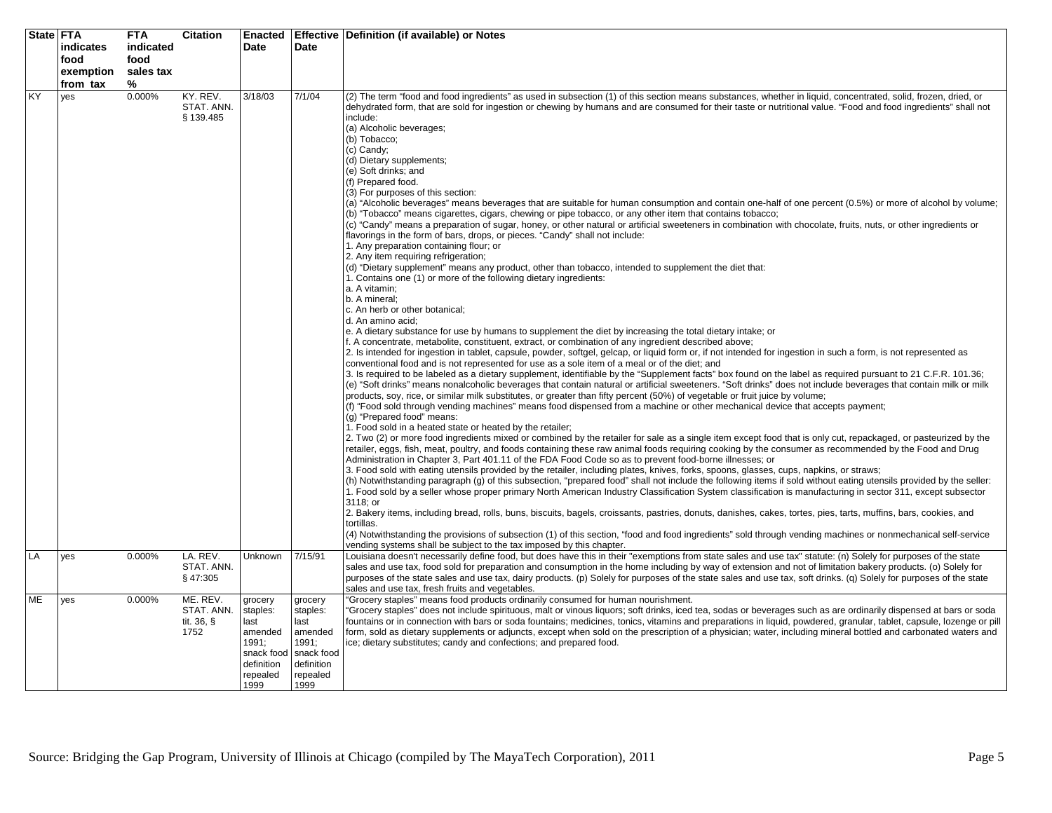|    | State FTA<br>indicates | <b>FTA</b><br>indicated | <b>Citation</b>                              | Enacted<br>Date                                                                                 | Date                                                                                            | Effective   Definition (if available) or Notes                                                                                                                                                                                                                                                                                                                                                                                                                                                                                                                                                                                                                                                                                                                                                                                                                                                                                                                                                                                                                                                                                                                                                                                                                                                                                                                                                                                                                                                                                                                                                                                                                                                                                                                                                                                                                                                                                                                                                                                                                                                                                                                                                                                                                                                                                                                                                                                                                                                                                                                                                                                                                                                                                                                                                                                                                                                                                                                                                                                                                                                                                                                                                                                                                                                                                                                                                                                                                                                                                                                                                                                                                                                                                                                                                                                                                                                                                                                             |
|----|------------------------|-------------------------|----------------------------------------------|-------------------------------------------------------------------------------------------------|-------------------------------------------------------------------------------------------------|----------------------------------------------------------------------------------------------------------------------------------------------------------------------------------------------------------------------------------------------------------------------------------------------------------------------------------------------------------------------------------------------------------------------------------------------------------------------------------------------------------------------------------------------------------------------------------------------------------------------------------------------------------------------------------------------------------------------------------------------------------------------------------------------------------------------------------------------------------------------------------------------------------------------------------------------------------------------------------------------------------------------------------------------------------------------------------------------------------------------------------------------------------------------------------------------------------------------------------------------------------------------------------------------------------------------------------------------------------------------------------------------------------------------------------------------------------------------------------------------------------------------------------------------------------------------------------------------------------------------------------------------------------------------------------------------------------------------------------------------------------------------------------------------------------------------------------------------------------------------------------------------------------------------------------------------------------------------------------------------------------------------------------------------------------------------------------------------------------------------------------------------------------------------------------------------------------------------------------------------------------------------------------------------------------------------------------------------------------------------------------------------------------------------------------------------------------------------------------------------------------------------------------------------------------------------------------------------------------------------------------------------------------------------------------------------------------------------------------------------------------------------------------------------------------------------------------------------------------------------------------------------------------------------------------------------------------------------------------------------------------------------------------------------------------------------------------------------------------------------------------------------------------------------------------------------------------------------------------------------------------------------------------------------------------------------------------------------------------------------------------------------------------------------------------------------------------------------------------------------------------------------------------------------------------------------------------------------------------------------------------------------------------------------------------------------------------------------------------------------------------------------------------------------------------------------------------------------------------------------------------------------------------------------------------------------------------------------------|
|    | food<br>exemption      | food<br>sales tax       |                                              |                                                                                                 |                                                                                                 |                                                                                                                                                                                                                                                                                                                                                                                                                                                                                                                                                                                                                                                                                                                                                                                                                                                                                                                                                                                                                                                                                                                                                                                                                                                                                                                                                                                                                                                                                                                                                                                                                                                                                                                                                                                                                                                                                                                                                                                                                                                                                                                                                                                                                                                                                                                                                                                                                                                                                                                                                                                                                                                                                                                                                                                                                                                                                                                                                                                                                                                                                                                                                                                                                                                                                                                                                                                                                                                                                                                                                                                                                                                                                                                                                                                                                                                                                                                                                                            |
|    | from tax               | %                       |                                              |                                                                                                 |                                                                                                 |                                                                                                                                                                                                                                                                                                                                                                                                                                                                                                                                                                                                                                                                                                                                                                                                                                                                                                                                                                                                                                                                                                                                                                                                                                                                                                                                                                                                                                                                                                                                                                                                                                                                                                                                                                                                                                                                                                                                                                                                                                                                                                                                                                                                                                                                                                                                                                                                                                                                                                                                                                                                                                                                                                                                                                                                                                                                                                                                                                                                                                                                                                                                                                                                                                                                                                                                                                                                                                                                                                                                                                                                                                                                                                                                                                                                                                                                                                                                                                            |
| KY | yes                    | 0.000%                  | KY. REV.<br>STAT. ANN.<br>§ 139.485          | 3/18/03                                                                                         | 7/1/04                                                                                          | (2) The term "food and food ingredients" as used in subsection (1) of this section means substances, whether in liquid, concentrated, solid, frozen, dried, or<br>dehydrated form, that are sold for ingestion or chewing by humans and are consumed for their taste or nutritional value. "Food and food ingredients" shall not<br>include:<br>(a) Alcoholic beverages;<br>(b) Tobacco;<br>(c) Candy;<br>(d) Dietary supplements;<br>(e) Soft drinks; and<br>(f) Prepared food.<br>(3) For purposes of this section:<br>(a) "Alcoholic beverages" means beverages that are suitable for human consumption and contain one-half of one percent (0.5%) or more of alcohol by volume;<br>(b) "Tobacco" means cigarettes, cigars, chewing or pipe tobacco, or any other item that contains tobacco;<br>(c) "Candy" means a preparation of sugar, honey, or other natural or artificial sweeteners in combination with chocolate, fruits, nuts, or other ingredients or<br>flavorings in the form of bars, drops, or pieces. "Candy" shall not include:<br>1. Any preparation containing flour; or<br>2. Any item requiring refrigeration;<br>(d) "Dietary supplement" means any product, other than tobacco, intended to supplement the diet that:<br>1. Contains one (1) or more of the following dietary ingredients:<br>a. A vitamin;<br>b. A mineral;<br>c. An herb or other botanical;<br>d. An amino acid:<br>e. A dietary substance for use by humans to supplement the diet by increasing the total dietary intake; or<br>f. A concentrate, metabolite, constituent, extract, or combination of any ingredient described above;<br>2. Is intended for ingestion in tablet, capsule, powder, softgel, gelcap, or liquid form or, if not intended for ingestion in such a form, is not represented as<br>conventional food and is not represented for use as a sole item of a meal or of the diet; and<br>3. Is required to be labeled as a dietary supplement, identifiable by the "Supplement facts" box found on the label as required pursuant to 21 C.F.R. 101.36;<br>(e) "Soft drinks" means nonalcoholic beverages that contain natural or artificial sweeteners. "Soft drinks" does not include beverages that contain milk or milk<br>products, soy, rice, or similar milk substitutes, or greater than fifty percent (50%) of vegetable or fruit juice by volume;<br>(f) "Food sold through vending machines" means food dispensed from a machine or other mechanical device that accepts payment;<br>(g) "Prepared food" means:<br>1. Food sold in a heated state or heated by the retailer;<br>2. Two (2) or more food ingredients mixed or combined by the retailer for sale as a single item except food that is only cut, repackaged, or pasteurized by the<br>retailer, eggs, fish, meat, poultry, and foods containing these raw animal foods requiring cooking by the consumer as recommended by the Food and Drug<br>Administration in Chapter 3, Part 401.11 of the FDA Food Code so as to prevent food-borne illnesses; or<br>3. Food sold with eating utensils provided by the retailer, including plates, knives, forks, spoons, glasses, cups, napkins, or straws;<br>(h) Notwithstanding paragraph (g) of this subsection, "prepared food" shall not include the following items if sold without eating utensils provided by the seller:<br>1. Food sold by a seller whose proper primary North American Industry Classification System classification is manufacturing in sector 311, except subsector<br>3118: or<br>2. Bakery items, including bread, rolls, buns, biscuits, bagels, croissants, pastries, donuts, danishes, cakes, tortes, pies, tarts, muffins, bars, cookies, and<br>tortillas.<br>(4) Notwithstanding the provisions of subsection (1) of this section, "food and food ingredients" sold through vending machines or nonmechanical self-service<br>vending systems shall be subject to the tax imposed by this chapter. |
| LA | yes                    | 0.000%                  | LA. REV.<br>STAT. ANN.<br>§47:305            | <b>Unknown</b>                                                                                  | 7/15/91                                                                                         | Louisiana doesn't necessarily define food, but does have this in their "exemptions from state sales and use tax" statute: (n) Solely for purposes of the state<br>sales and use tax, food sold for preparation and consumption in the home including by way of extension and not of limitation bakery products. (o) Solely for<br>purposes of the state sales and use tax, dairy products. (p) Solely for purposes of the state sales and use tax, soft drinks. (q) Solely for purposes of the state<br>sales and use tax, fresh fruits and vegetables.                                                                                                                                                                                                                                                                                                                                                                                                                                                                                                                                                                                                                                                                                                                                                                                                                                                                                                                                                                                                                                                                                                                                                                                                                                                                                                                                                                                                                                                                                                                                                                                                                                                                                                                                                                                                                                                                                                                                                                                                                                                                                                                                                                                                                                                                                                                                                                                                                                                                                                                                                                                                                                                                                                                                                                                                                                                                                                                                                                                                                                                                                                                                                                                                                                                                                                                                                                                                                    |
| ME | yes                    | 0.000%                  | ME. REV.<br>STAT. ANN.<br>tit. 36, §<br>1752 | grocery<br>staples:<br>last<br>amended<br>1991;<br>snack food<br>definition<br>repealed<br>1999 | grocery<br>staples:<br>last<br>amended<br>1991;<br>snack food<br>definition<br>repealed<br>1999 | "Grocery staples" means food products ordinarily consumed for human nourishment.<br>"Grocery staples" does not include spirituous, malt or vinous liquors; soft drinks, iced tea, sodas or beverages such as are ordinarily dispensed at bars or soda<br>fountains or in connection with bars or soda fountains; medicines, tonics, vitamins and preparations in liquid, powdered, granular, tablet, capsule, lozenge or pill<br>form, sold as dietary supplements or adjuncts, except when sold on the prescription of a physician; water, including mineral bottled and carbonated waters and<br>ice; dietary substitutes; candy and confections; and prepared food.                                                                                                                                                                                                                                                                                                                                                                                                                                                                                                                                                                                                                                                                                                                                                                                                                                                                                                                                                                                                                                                                                                                                                                                                                                                                                                                                                                                                                                                                                                                                                                                                                                                                                                                                                                                                                                                                                                                                                                                                                                                                                                                                                                                                                                                                                                                                                                                                                                                                                                                                                                                                                                                                                                                                                                                                                                                                                                                                                                                                                                                                                                                                                                                                                                                                                                     |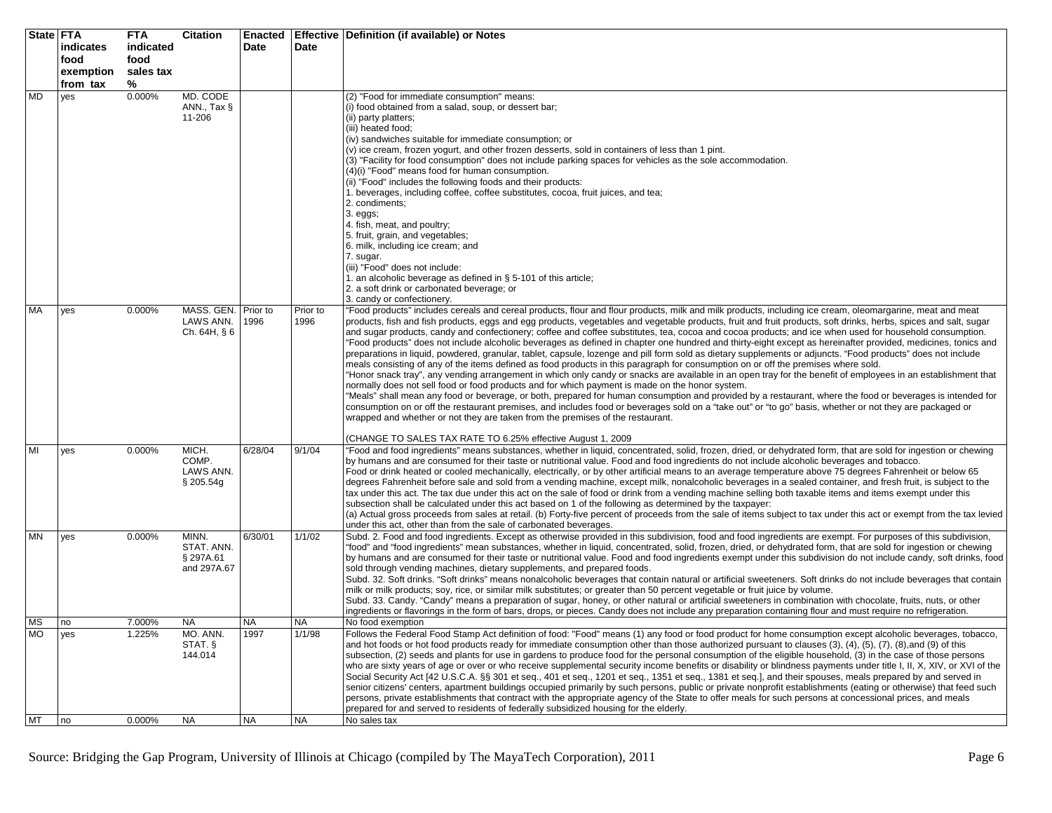| State FTA | indicates | <b>FTA</b><br>indicated | <b>Citation</b>                  | Date      | <b>Date</b>      | Enacted   Effective   Definition (if available) or Notes                                                                                                                                                                                                                                                                            |
|-----------|-----------|-------------------------|----------------------------------|-----------|------------------|-------------------------------------------------------------------------------------------------------------------------------------------------------------------------------------------------------------------------------------------------------------------------------------------------------------------------------------|
|           | food      | food                    |                                  |           |                  |                                                                                                                                                                                                                                                                                                                                     |
|           | exemption | sales tax               |                                  |           |                  |                                                                                                                                                                                                                                                                                                                                     |
| <b>MD</b> | from tax  | ℅<br>0.000%             | MD. CODE                         |           |                  | (2) "Food for immediate consumption" means:                                                                                                                                                                                                                                                                                         |
|           | yes       |                         | ANN., Tax $\S$                   |           |                  | (i) food obtained from a salad, soup, or dessert bar;                                                                                                                                                                                                                                                                               |
|           |           |                         | 11-206                           |           |                  | (ii) party platters;                                                                                                                                                                                                                                                                                                                |
|           |           |                         |                                  |           |                  | (iii) heated food;<br>(iv) sandwiches suitable for immediate consumption; or                                                                                                                                                                                                                                                        |
|           |           |                         |                                  |           |                  | (v) ice cream, frozen yogurt, and other frozen desserts, sold in containers of less than 1 pint.                                                                                                                                                                                                                                    |
|           |           |                         |                                  |           |                  | (3) "Facility for food consumption" does not include parking spaces for vehicles as the sole accommodation.<br>(4)(i) "Food" means food for human consumption.                                                                                                                                                                      |
|           |           |                         |                                  |           |                  | (ii) "Food" includes the following foods and their products:                                                                                                                                                                                                                                                                        |
|           |           |                         |                                  |           |                  | 1. beverages, including coffee, coffee substitutes, cocoa, fruit juices, and tea;                                                                                                                                                                                                                                                   |
|           |           |                         |                                  |           |                  | 2. condiments;<br>$3. eggs;$                                                                                                                                                                                                                                                                                                        |
|           |           |                         |                                  |           |                  | 4. fish, meat, and poultry;                                                                                                                                                                                                                                                                                                         |
|           |           |                         |                                  |           |                  | 5. fruit, grain, and vegetables;<br>6. milk, including ice cream; and                                                                                                                                                                                                                                                               |
|           |           |                         |                                  |           |                  | 7. sugar.                                                                                                                                                                                                                                                                                                                           |
|           |           |                         |                                  |           |                  | (iii) "Food" does not include:                                                                                                                                                                                                                                                                                                      |
|           |           |                         |                                  |           |                  | 1. an alcoholic beverage as defined in $\S$ 5-101 of this article;<br>2. a soft drink or carbonated beverage; or                                                                                                                                                                                                                    |
|           |           |                         |                                  |           |                  | 3. candy or confectionery.                                                                                                                                                                                                                                                                                                          |
| <b>MA</b> | yes       | 0.000%                  | MASS. GEN. Prior to<br>LAWS ANN. | 1996      | Prior to<br>1996 | "Food products" includes cereals and cereal products, flour and flour products, milk and milk products, including ice cream, oleomargarine, meat and meat<br>products, fish and fish products, eggs and egg products, vegetables and vegetable products, fruit and fruit products, soft drinks, herbs, spices and salt, sugar       |
|           |           |                         | Ch. 64H, § 6                     |           |                  | and sugar products, candy and confectionery; coffee and coffee substitutes, tea, cocoa and cocoa products; and ice when used for household consumption.                                                                                                                                                                             |
|           |           |                         |                                  |           |                  | "Food products" does not include alcoholic beverages as defined in chapter one hundred and thirty-eight except as hereinafter provided, medicines, tonics and<br>preparations in liquid, powdered, granular, tablet, capsule, lozenge and pill form sold as dietary supplements or adjuncts. "Food products" does not include       |
|           |           |                         |                                  |           |                  | meals consisting of any of the items defined as food products in this paragraph for consumption on or off the premises where sold.                                                                                                                                                                                                  |
|           |           |                         |                                  |           |                  | "Honor snack tray", any vending arrangement in which only candy or snacks are available in an open tray for the benefit of employees in an establishment that                                                                                                                                                                       |
|           |           |                         |                                  |           |                  | normally does not sell food or food products and for which payment is made on the honor system.<br>"Meals" shall mean any food or beverage, or both, prepared for human consumption and provided by a restaurant, where the food or beverages is intended for                                                                       |
|           |           |                         |                                  |           |                  | consumption on or off the restaurant premises, and includes food or beverages sold on a "take out" or "to go" basis, whether or not they are packaged or                                                                                                                                                                            |
|           |           |                         |                                  |           |                  | wrapped and whether or not they are taken from the premises of the restaurant.                                                                                                                                                                                                                                                      |
|           |           |                         |                                  |           |                  | (CHANGE TO SALES TAX RATE TO 6.25% effective August 1, 2009                                                                                                                                                                                                                                                                         |
| MI        | yes       | 0.000%                  | MICH.<br>COMP.                   | 6/28/04   | 9/1/04           | "Food and food ingredients" means substances, whether in liquid, concentrated, solid, frozen, dried, or dehydrated form, that are sold for ingestion or chewing<br>by humans and are consumed for their taste or nutritional value. Food and food ingredients do not include alcoholic beverages and tobacco.                       |
|           |           |                         | LAWS ANN.                        |           |                  | Food or drink heated or cooled mechanically, electrically, or by other artificial means to an average temperature above 75 degrees Fahrenheit or below 65                                                                                                                                                                           |
|           |           |                         | § 205.54g                        |           |                  | degrees Fahrenheit before sale and sold from a vending machine, except milk, nonalcoholic beverages in a sealed container, and fresh fruit, is subject to the<br>tax under this act. The tax due under this act on the sale of food or drink from a vending machine selling both taxable items and items exempt under this          |
|           |           |                         |                                  |           |                  | subsection shall be calculated under this act based on 1 of the following as determined by the taxpayer:                                                                                                                                                                                                                            |
|           |           |                         |                                  |           |                  | (a) Actual gross proceeds from sales at retail. (b) Forty-five percent of proceeds from the sale of items subject to tax under this act or exempt from the tax levied                                                                                                                                                               |
| <b>MN</b> | yes       | 0.000%                  | MINN.                            | 6/30/01   | 1/1/02           | under this act, other than from the sale of carbonated beverages.<br>Subd. 2. Food and food ingredients. Except as otherwise provided in this subdivision, food and food ingredients are exempt. For purposes of this subdivision,                                                                                                  |
|           |           |                         | STAT. ANN.                       |           |                  | "food" and "food ingredients" mean substances, whether in liquid, concentrated, solid, frozen, dried, or dehydrated form, that are sold for ingestion or chewing                                                                                                                                                                    |
|           |           |                         | § 297A.61<br>and 297A.67         |           |                  | by humans and are consumed for their taste or nutritional value. Food and food ingredients exempt under this subdivision do not include candy, soft drinks, food<br>sold through vending machines, dietary supplements, and prepared foods.                                                                                         |
|           |           |                         |                                  |           |                  | Subd. 32. Soft drinks. "Soft drinks" means nonalcoholic beverages that contain natural or artificial sweeteners. Soft drinks do not include beverages that contain                                                                                                                                                                  |
|           |           |                         |                                  |           |                  | milk or milk products; soy, rice, or similar milk substitutes; or greater than 50 percent vegetable or fruit juice by volume.<br>Subd. 33. Candy. "Candy" means a preparation of sugar, honey, or other natural or artificial sweeteners in combination with chocolate, fruits, nuts, or other                                      |
|           |           |                         |                                  |           |                  | ingredients or flavorings in the form of bars, drops, or pieces. Candy does not include any preparation containing flour and must require no refrigeration.                                                                                                                                                                         |
| <b>MS</b> | no        | 7.000%                  | <b>NA</b>                        | <b>NA</b> | <b>NA</b>        | No food exemption                                                                                                                                                                                                                                                                                                                   |
| <b>MO</b> | yes       | 1.225%                  | MO. ANN.<br>STAT. §              | 1997      | 1/1/98           | Follows the Federal Food Stamp Act definition of food: "Food" means (1) any food or food product for home consumption except alcoholic beverages, tobacco,<br>and hot foods or hot food products ready for immediate consumption other than those authorized pursuant to clauses (3), (4), (5), (7), (8), and (9) of this           |
|           |           |                         | 144.014                          |           |                  | subsection, (2) seeds and plants for use in gardens to produce food for the personal consumption of the eligible household, (3) in the case of those persons                                                                                                                                                                        |
|           |           |                         |                                  |           |                  | who are sixty years of age or over or who receive supplemental security income benefits or disability or blindness payments under title I, II, X, XIV, or XVI of the<br>Social Security Act [42 U.S.C.A. §§ 301 et seg., 401 et seg., 1201 et seg., 1351 et seg., 1381 et seg.], and their spouses, meals prepared by and served in |
|           |           |                         |                                  |           |                  | senior citizens' centers, apartment buildings occupied primarily by such persons, public or private nonprofit establishments (eating or otherwise) that feed such                                                                                                                                                                   |
|           |           |                         |                                  |           |                  | persons, private establishments that contract with the appropriate agency of the State to offer meals for such persons at concessional prices, and meals                                                                                                                                                                            |
| MT        | no        | 0.000%                  | <b>NA</b>                        | <b>NA</b> | <b>NA</b>        | prepared for and served to residents of federally subsidized housing for the elderly.<br>No sales tax                                                                                                                                                                                                                               |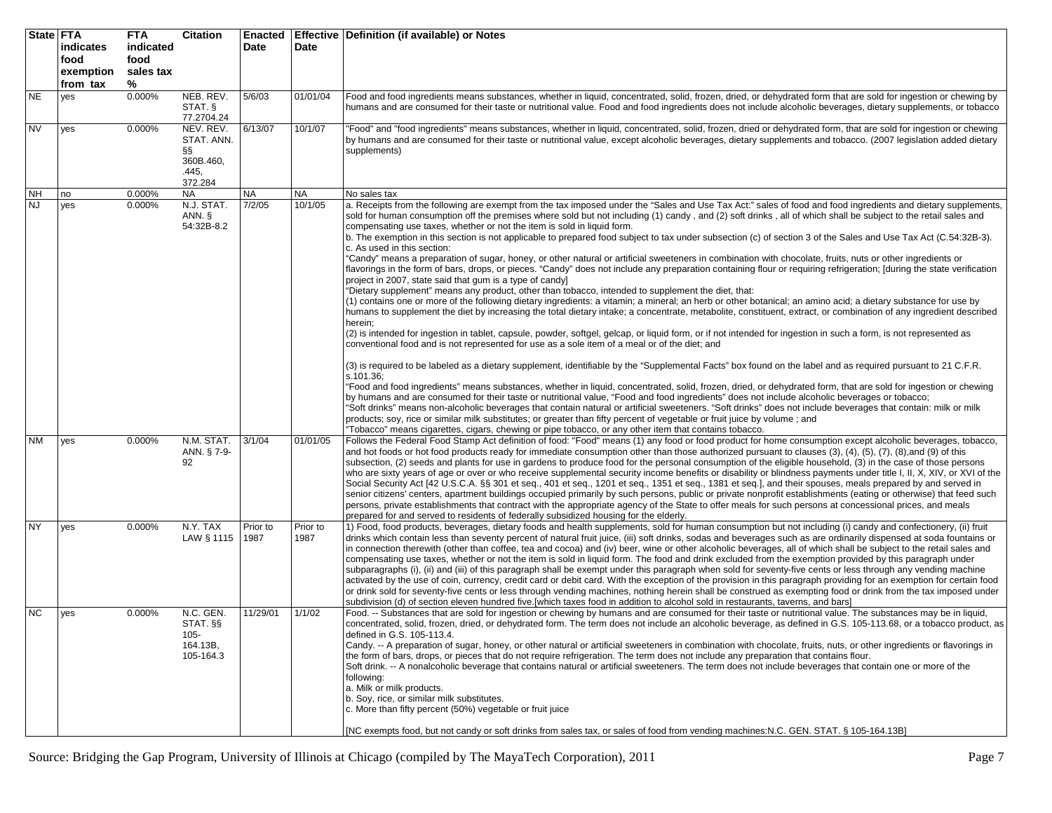| State FTA | indicates<br>food<br>exemption<br>from tax | <b>FTA</b><br>indicated<br>food<br>sales tax<br>% | <b>Citation</b>                                               | Date             | Date             | Enacted   Effective   Definition (if available) or Notes                                                                                                                                                                                                                                                                                                                                                                                                                                                                                                                                                                                                                                                                                                                                                                                                                                                                                                                                                                                                                                                                                                                                                                                                                                                                                                                                                                                                                                                                                                                                                                                                                                                                                                                                                                                                                                                                                                                                                                                                                                                                                                                                                                                                                                                                                                                                                                                                                                                                                       |
|-----------|--------------------------------------------|---------------------------------------------------|---------------------------------------------------------------|------------------|------------------|------------------------------------------------------------------------------------------------------------------------------------------------------------------------------------------------------------------------------------------------------------------------------------------------------------------------------------------------------------------------------------------------------------------------------------------------------------------------------------------------------------------------------------------------------------------------------------------------------------------------------------------------------------------------------------------------------------------------------------------------------------------------------------------------------------------------------------------------------------------------------------------------------------------------------------------------------------------------------------------------------------------------------------------------------------------------------------------------------------------------------------------------------------------------------------------------------------------------------------------------------------------------------------------------------------------------------------------------------------------------------------------------------------------------------------------------------------------------------------------------------------------------------------------------------------------------------------------------------------------------------------------------------------------------------------------------------------------------------------------------------------------------------------------------------------------------------------------------------------------------------------------------------------------------------------------------------------------------------------------------------------------------------------------------------------------------------------------------------------------------------------------------------------------------------------------------------------------------------------------------------------------------------------------------------------------------------------------------------------------------------------------------------------------------------------------------------------------------------------------------------------------------------------------------|
| <b>NE</b> | yes                                        | 0.000%                                            | NEB. REV.<br>STAT. §<br>77.2704.24                            | 5/6/03           | 01/01/04         | Food and food ingredients means substances, whether in liquid, concentrated, solid, frozen, dried, or dehydrated form that are sold for ingestion or chewing by<br>humans and are consumed for their taste or nutritional value. Food and food ingredients does not include alcoholic beverages, dietary supplements, or tobacco                                                                                                                                                                                                                                                                                                                                                                                                                                                                                                                                                                                                                                                                                                                                                                                                                                                                                                                                                                                                                                                                                                                                                                                                                                                                                                                                                                                                                                                                                                                                                                                                                                                                                                                                                                                                                                                                                                                                                                                                                                                                                                                                                                                                               |
| <b>NV</b> | yes                                        | 0.000%                                            | NEV. REV.<br>STAT. ANN.<br>ާ<br>360B.460,<br>.445,<br>372.284 | 6/13/07          | 10/1/07          | 'Food" and "food ingredients" means substances, whether in liquid, concentrated, solid, frozen, dried or dehydrated form, that are sold for ingestion or chewing<br>by humans and are consumed for their taste or nutritional value, except alcoholic beverages, dietary supplements and tobacco. (2007 legislation added dietary<br>supplements)                                                                                                                                                                                                                                                                                                                                                                                                                                                                                                                                                                                                                                                                                                                                                                                                                                                                                                                                                                                                                                                                                                                                                                                                                                                                                                                                                                                                                                                                                                                                                                                                                                                                                                                                                                                                                                                                                                                                                                                                                                                                                                                                                                                              |
| NΗ        | no                                         | 0.000%                                            | <b>NA</b>                                                     | <b>NA</b>        | <b>NA</b>        | No sales tax                                                                                                                                                                                                                                                                                                                                                                                                                                                                                                                                                                                                                                                                                                                                                                                                                                                                                                                                                                                                                                                                                                                                                                                                                                                                                                                                                                                                                                                                                                                                                                                                                                                                                                                                                                                                                                                                                                                                                                                                                                                                                                                                                                                                                                                                                                                                                                                                                                                                                                                                   |
| <b>NJ</b> | yes                                        | 0.000%                                            | N.J. STAT.<br>ANN. §<br>54:32B-8.2                            | 7/2/05           | 10/1/05          | a. Receipts from the following are exempt from the tax imposed under the "Sales and Use Tax Act:" sales of food and food ingredients and dietary supplements,<br>sold for human consumption off the premises where sold but not including (1) candy, and (2) soft drinks, all of which shall be subject to the retail sales and<br>compensating use taxes, whether or not the item is sold in liquid form.<br>b. The exemption in this section is not applicable to prepared food subject to tax under subsection (c) of section 3 of the Sales and Use Tax Act (C.54:32B-3).<br>c. As used in this section:<br>"Candy" means a preparation of sugar, honey, or other natural or artificial sweeteners in combination with chocolate, fruits, nuts or other ingredients or<br>flavorings in the form of bars, drops, or pieces. "Candy" does not include any preparation containing flour or requiring refrigeration; [during the state verification<br>project in 2007, state said that gum is a type of candy]<br>"Dietary supplement" means any product, other than tobacco, intended to supplement the diet, that:<br>(1) contains one or more of the following dietary ingredients: a vitamin; a mineral; an herb or other botanical; an amino acid; a dietary substance for use by<br>humans to supplement the diet by increasing the total dietary intake; a concentrate, metabolite, constituent, extract, or combination of any ingredient described<br>herein;<br>(2) is intended for ingestion in tablet, capsule, powder, softgel, gelcap, or liquid form, or if not intended for ingestion in such a form, is not represented as<br>conventional food and is not represented for use as a sole item of a meal or of the diet; and<br>(3) is required to be labeled as a dietary supplement, identifiable by the "Supplemental Facts" box found on the label and as required pursuant to 21 C.F.R.<br>s.101.36;<br>"Food and food ingredients" means substances, whether in liquid, concentrated, solid, frozen, dried, or dehydrated form, that are sold for ingestion or chewing<br>by humans and are consumed for their taste or nutritional value, "Food and food ingredients" does not include alcoholic beverages or tobacco;<br>'Soft drinks" means non-alcoholic beverages that contain natural or artificial sweeteners. "Soft drinks" does not include beverages that contain: milk or milk<br>products; soy, rice or similar milk substitutes; or greater than fifty percent of vegetable or fruit juice by volume; and |
| <b>NM</b> | yes                                        | 0.000%                                            | N.M. STAT.<br>ANN. § 7-9-<br>92                               | 3/1/04           | 01/01/05         | 'Tobacco" means cigarettes, cigars, chewing or pipe tobacco, or any other item that contains tobacco.<br>Follows the Federal Food Stamp Act definition of food: "Food" means (1) any food or food product for home consumption except alcoholic beverages, tobacco,<br>and hot foods or hot food products ready for immediate consumption other than those authorized pursuant to clauses (3), (4), (5), (7), (8),and (9) of this<br>subsection, (2) seeds and plants for use in gardens to produce food for the personal consumption of the eligible household, (3) in the case of those persons<br>who are sixty years of age or over or who receive supplemental security income benefits or disability or blindness payments under title I, II, X, XIV, or XVI of the<br>Social Security Act [42 U.S.C.A. §§ 301 et seq., 401 et seq., 1201 et seq., 1351 et seq., 1381 et seq.], and their spouses, meals prepared by and served in<br>senior citizens' centers, apartment buildings occupied primarily by such persons, public or private nonprofit establishments (eating or otherwise) that feed such<br>persons, private establishments that contract with the appropriate agency of the State to offer meals for such persons at concessional prices, and meals<br>prepared for and served to residents of federally subsidized housing for the elderly.                                                                                                                                                                                                                                                                                                                                                                                                                                                                                                                                                                                                                                                                                                                                                                                                                                                                                                                                                                                                                                                                                                                                                                             |
| <b>NY</b> | yes                                        | 0.000%                                            | N.Y. TAX<br>LAW § 1115                                        | Prior to<br>1987 | Prior to<br>1987 | 1) Food, food products, beverages, dietary foods and health supplements, sold for human consumption but not including (i) candy and confectionery, (ii) fruit<br>drinks which contain less than seventy percent of natural fruit juice, (iii) soft drinks, sodas and beverages such as are ordinarily dispensed at soda fountains or<br>in connection therewith (other than coffee, tea and cocoa) and (iv) beer, wine or other alcoholic beverages, all of which shall be subject to the retail sales and<br>compensating use taxes, whether or not the item is sold in liquid form. The food and drink excluded from the exemption provided by this paragraph under<br>subparagraphs (i), (ii) and (iii) of this paragraph shall be exempt under this paragraph when sold for seventy-five cents or less through any vending machine<br>activated by the use of coin, currency, credit card or debit card. With the exception of the provision in this paragraph providing for an exemption for certain food<br>or drink sold for seventy-five cents or less through vending machines, nothing herein shall be construed as exempting food or drink from the tax imposed under<br>subdivision (d) of section eleven hundred five.[which taxes food in addition to alcohol sold in restaurants, taverns, and bars]                                                                                                                                                                                                                                                                                                                                                                                                                                                                                                                                                                                                                                                                                                                                                                                                                                                                                                                                                                                                                                                                                                                                                                                                                            |
| <b>NC</b> | yes                                        | 0.000%                                            | $N.C.$ GEN.<br>STAT. §§<br>105-<br>164.13B,<br>105-164.3      | 11/29/01         | 1/1/02           | Food. -- Substances that are sold for ingestion or chewing by humans and are consumed for their taste or nutritional value. The substances may be in liquid,<br>concentrated, solid, frozen, dried, or dehydrated form. The term does not include an alcoholic beverage, as defined in G.S. 105-113.68. or a tobacco product. as<br>defined in G.S. 105-113.4.<br>Candy. -- A preparation of sugar, honey, or other natural or artificial sweeteners in combination with chocolate, fruits, nuts, or other ingredients or flavorings in<br>the form of bars, drops, or pieces that do not require refrigeration. The term does not include any preparation that contains flour.<br>Soft drink. -- A nonalcoholic beverage that contains natural or artificial sweeteners. The term does not include beverages that contain one or more of the<br>following:<br>a. Milk or milk products.<br>b. Soy, rice, or similar milk substitutes.<br>c. More than fifty percent (50%) vegetable or fruit juice<br>[NC exempts food, but not candy or soft drinks from sales tax, or sales of food from vending machines: N.C. GEN. STAT. § 105-164.13B]                                                                                                                                                                                                                                                                                                                                                                                                                                                                                                                                                                                                                                                                                                                                                                                                                                                                                                                                                                                                                                                                                                                                                                                                                                                                                                                                                                                                   |

Source: Bridging the Gap Program, University of Illinois at Chicago (compiled by The MayaTech Corporation), 2011 Page 7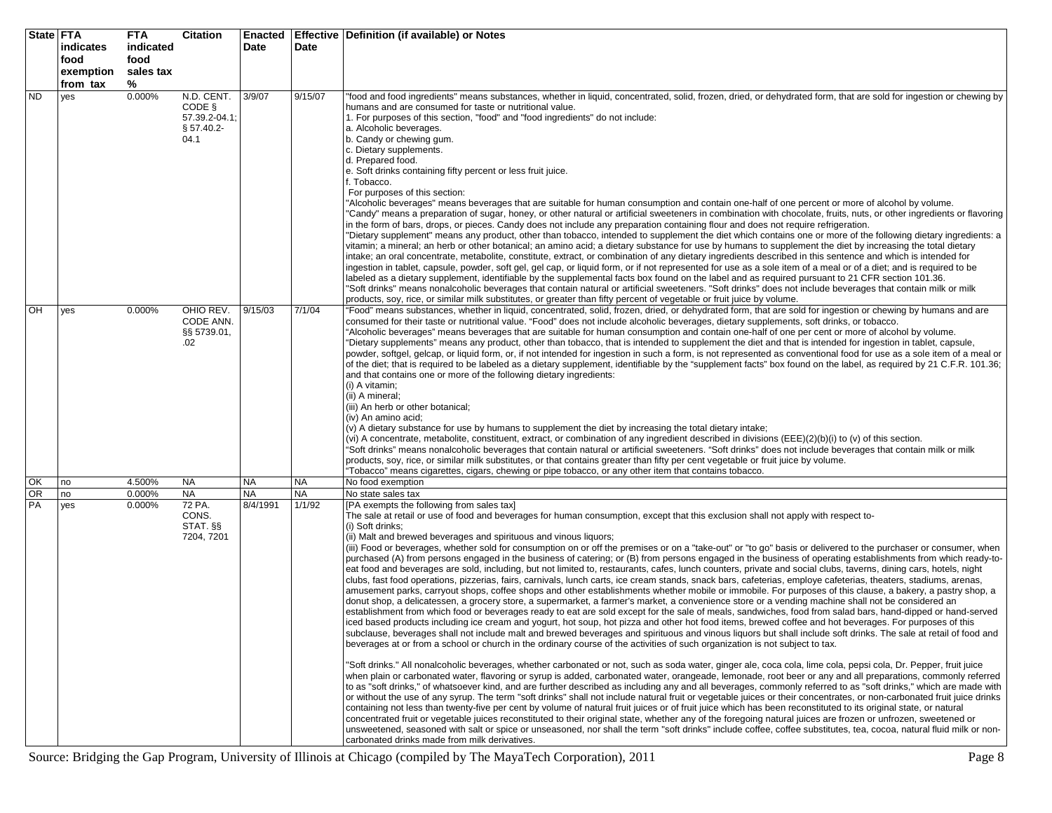| <b>State FTA</b> | indicates<br>food<br>exemption<br>from tax | <b>FTA</b><br>indicated<br>food<br>sales tax<br>% | <b>Citation</b>                                             | Enacted<br>Date | Date      | <b>Effective Definition (if available) or Notes</b>                                                                                                                                                                                                                                                                                                                                                                                                                                                                                                                                                                                                                                                                                                                                                                                                                                                                                                                                                                                                                                                                                                                                                                                                                                                                                                                                                                                                                                                                                                                                                                                                                                                                                                                                                                                                                                                                                                                                                                                                                                                                                                                                                                                                                                                                                                                                                                                                                                                                                                                                                                                                                                                                                                                                                                                                                                                                                                                                                                                                                                                                                                      |
|------------------|--------------------------------------------|---------------------------------------------------|-------------------------------------------------------------|-----------------|-----------|----------------------------------------------------------------------------------------------------------------------------------------------------------------------------------------------------------------------------------------------------------------------------------------------------------------------------------------------------------------------------------------------------------------------------------------------------------------------------------------------------------------------------------------------------------------------------------------------------------------------------------------------------------------------------------------------------------------------------------------------------------------------------------------------------------------------------------------------------------------------------------------------------------------------------------------------------------------------------------------------------------------------------------------------------------------------------------------------------------------------------------------------------------------------------------------------------------------------------------------------------------------------------------------------------------------------------------------------------------------------------------------------------------------------------------------------------------------------------------------------------------------------------------------------------------------------------------------------------------------------------------------------------------------------------------------------------------------------------------------------------------------------------------------------------------------------------------------------------------------------------------------------------------------------------------------------------------------------------------------------------------------------------------------------------------------------------------------------------------------------------------------------------------------------------------------------------------------------------------------------------------------------------------------------------------------------------------------------------------------------------------------------------------------------------------------------------------------------------------------------------------------------------------------------------------------------------------------------------------------------------------------------------------------------------------------------------------------------------------------------------------------------------------------------------------------------------------------------------------------------------------------------------------------------------------------------------------------------------------------------------------------------------------------------------------------------------------------------------------------------------------------------------------|
| <b>ND</b>        | yes                                        | 0.000%                                            | N.D. CENT.<br>CODE §<br>57.39.2-04.1;<br>§ 57.40.2-<br>04.1 | 3/9/07          | 9/15/07   | "food and food ingredients" means substances, whether in liquid, concentrated, solid, frozen, dried, or dehydrated form, that are sold for ingestion or chewing by<br>humans and are consumed for taste or nutritional value.<br>1. For purposes of this section, "food" and "food ingredients" do not include:<br>a. Alcoholic beverages.<br>b. Candy or chewing gum.<br>c. Dietary supplements.<br>d. Prepared food.<br>e. Soft drinks containing fifty percent or less fruit juice.<br>. Tobacco.<br>For purposes of this section:<br>"Alcoholic beverages" means beverages that are suitable for human consumption and contain one-half of one percent or more of alcohol by volume.<br>'Candy" means a preparation of sugar, honey, or other natural or artificial sweeteners in combination with chocolate, fruits, nuts, or other ingredients or flavoring<br>in the form of bars, drops, or pieces. Candy does not include any preparation containing flour and does not require refrigeration.<br>"Dietary supplement" means any product, other than tobacco, intended to supplement the diet which contains one or more of the following dietary ingredients: a<br>vitamin; a mineral; an herb or other botanical; an amino acid; a dietary substance for use by humans to supplement the diet by increasing the total dietary<br>intake; an oral concentrate, metabolite, constitute, extract, or combination of any dietary ingredients described in this sentence and which is intended for<br>ingestion in tablet, capsule, powder, soft gel, gel cap, or liquid form, or if not represented for use as a sole item of a meal or of a diet; and is required to be<br>labeled as a dietary supplement, identifiable by the supplemental facts box found on the label and as required pursuant to 21 CFR section 101.36.<br>"Soft drinks" means nonalcoholic beverages that contain natural or artificial sweeteners. "Soft drinks" does not include beverages that contain milk or milk<br>products, soy, rice, or similar milk substitutes, or greater than fifty percent of vegetable or fruit juice by volume.                                                                                                                                                                                                                                                                                                                                                                                                                                                                                                                                                                                                                                                                                                                                                                                                                                                                                                                                                                                                                           |
| OH               | yes                                        | 0.000%                                            | OHIO REV.<br>CODE ANN.<br>§§ 5739.01,<br>.02                | 9/15/03         | 7/1/04    | "Food" means substances, whether in liquid, concentrated, solid, frozen, dried, or dehydrated form, that are sold for ingestion or chewing by humans and are<br>consumed for their taste or nutritional value. "Food" does not include alcoholic beverages, dietary supplements, soft drinks, or tobacco.<br>"Alcoholic beverages" means beverages that are suitable for human consumption and contain one-half of one per cent or more of alcohol by volume.<br>"Dietary supplements" means any product, other than tobacco, that is intended to supplement the diet and that is intended for ingestion in tablet, capsule,<br>powder, softgel, gelcap, or liquid form, or, if not intended for ingestion in such a form, is not represented as conventional food for use as a sole item of a meal or<br>of the diet; that is required to be labeled as a dietary supplement, identifiable by the "supplement facts" box found on the label, as required by 21 C.F.R. 101.36;<br>and that contains one or more of the following dietary ingredients:<br>(i) A vitamin;<br>(ii) A mineral;<br>(iii) An herb or other botanical;<br>(iv) An amino acid;<br>(v) A dietary substance for use by humans to supplement the diet by increasing the total dietary intake;<br>(vi) A concentrate, metabolite, constituent, extract, or combination of any ingredient described in divisions (EEE)(2)(b)(i) to (v) of this section.<br>"Soft drinks" means nonalcoholic beverages that contain natural or artificial sweeteners. "Soft drinks" does not include beverages that contain milk or milk<br>products, soy, rice, or similar milk substitutes, or that contains greater than fifty per cent vegetable or fruit juice by volume.<br>"Tobacco" means cigarettes, cigars, chewing or pipe tobacco, or any other item that contains tobacco.                                                                                                                                                                                                                                                                                                                                                                                                                                                                                                                                                                                                                                                                                                                                                                                                                                                                                                                                                                                                                                                                                                                                                                                                                                                                                                                |
| OK               | no                                         | 4.500%                                            | <b>NA</b>                                                   | <b>NA</b>       | <b>NA</b> | No food exemption                                                                                                                                                                                                                                                                                                                                                                                                                                                                                                                                                                                                                                                                                                                                                                                                                                                                                                                                                                                                                                                                                                                                                                                                                                                                                                                                                                                                                                                                                                                                                                                                                                                                                                                                                                                                                                                                                                                                                                                                                                                                                                                                                                                                                                                                                                                                                                                                                                                                                                                                                                                                                                                                                                                                                                                                                                                                                                                                                                                                                                                                                                                                        |
| $\overline{OR}$  | no                                         | 0.000%                                            | <b>NA</b>                                                   | <b>NA</b>       | <b>NA</b> | No state sales tax                                                                                                                                                                                                                                                                                                                                                                                                                                                                                                                                                                                                                                                                                                                                                                                                                                                                                                                                                                                                                                                                                                                                                                                                                                                                                                                                                                                                                                                                                                                                                                                                                                                                                                                                                                                                                                                                                                                                                                                                                                                                                                                                                                                                                                                                                                                                                                                                                                                                                                                                                                                                                                                                                                                                                                                                                                                                                                                                                                                                                                                                                                                                       |
| PA               | yes                                        | 0.000%                                            | 72 PA.<br>CONS.<br>STAT. §§<br>7204, 7201                   | 8/4/1991        | 1/1/92    | [PA exempts the following from sales tax]<br>The sale at retail or use of food and beverages for human consumption, except that this exclusion shall not apply with respect to-<br>(i) Soft drinks;<br>(ii) Malt and brewed beverages and spirituous and vinous liquors;<br>(iii) Food or beverages, whether sold for consumption on or off the premises or on a "take-out" or "to go" basis or delivered to the purchaser or consumer, when<br>purchased (A) from persons engaged in the business of catering; or (B) from persons engaged in the business of operating establishments from which ready-to-<br>eat food and beverages are sold, including, but not limited to, restaurants, cafes, lunch counters, private and social clubs, taverns, dining cars, hotels, night<br>clubs, fast food operations, pizzerias, fairs, carnivals, lunch carts, ice cream stands, snack bars, cafeterias, employe cafeterias, theaters, stadiums, arenas,<br>amusement parks, carryout shops, coffee shops and other establishments whether mobile or immobile. For purposes of this clause, a bakery, a pastry shop, a<br>donut shop, a delicatessen, a grocery store, a supermarket, a farmer's market, a convenience store or a vending machine shall not be considered an<br>establishment from which food or beverages ready to eat are sold except for the sale of meals, sandwiches, food from salad bars, hand-dipped or hand-served<br>iced based products including ice cream and yogurt, hot soup, hot pizza and other hot food items, brewed coffee and hot beverages. For purposes of this<br>subclause, beverages shall not include malt and brewed beverages and spirituous and vinous liquors but shall include soft drinks. The sale at retail of food and<br>beverages at or from a school or church in the ordinary course of the activities of such organization is not subject to tax.<br>"Soft drinks." All nonalcoholic beverages, whether carbonated or not, such as soda water, ginger ale, coca cola, lime cola, pepsi cola, Dr. Pepper, fruit juice<br>when plain or carbonated water, flavoring or syrup is added, carbonated water, orangeade, lemonade, root beer or any and all preparations, commonly referred<br>to as "soft drinks," of whatsoever kind, and are further described as including any and all beverages, commonly referred to as "soft drinks," which are made with<br>or without the use of any syrup. The term "soft drinks" shall not include natural fruit or vegetable juices or their concentrates, or non-carbonated fruit juice drinks<br>containing not less than twenty-five per cent by volume of natural fruit juices or of fruit juice which has been reconstituted to its original state, or natural<br>concentrated fruit or vegetable juices reconstituted to their original state, whether any of the foregoing natural juices are frozen or unfrozen, sweetened or<br>unsweetened, seasoned with salt or spice or unseasoned, nor shall the term "soft drinks" include coffee, coffee substitutes, tea, cocoa, natural fluid milk or non-<br>carbonated drinks made from milk derivatives. |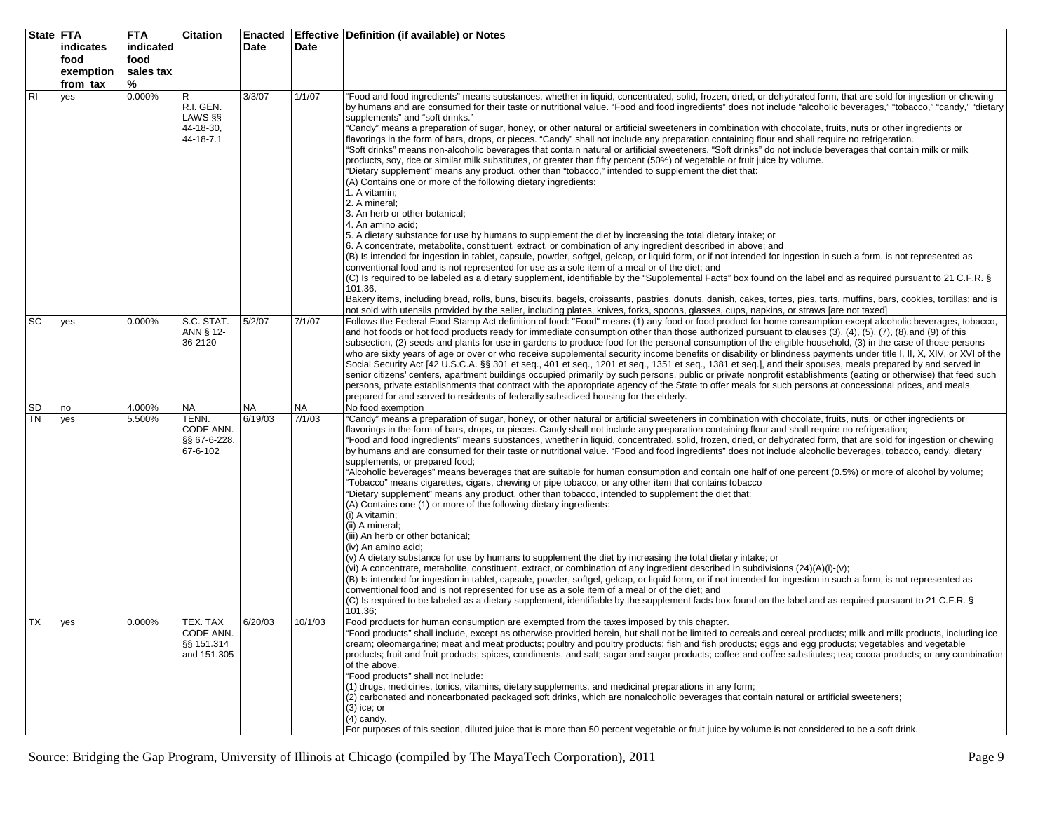|                 | State FTA<br>indicates<br>food<br>exemption<br>from tax | <b>FTA</b><br>indicated<br>food<br>sales tax<br>% | <b>Citation</b>                                      | <b>Enacted</b><br>Date | Date                | Effective   Definition (if available) or Notes                                                                                                                                                                                                                                                                                                                                                                                                                                                                                                                                                                                                                                                                                                                                                                                                                                                                                                                                                                                                                                                                                                                                                                                                                                                                                                                                                                                                                                                                                                                                                                                                                                                                                                                                                                                                                                                                                                                                                                                                                                                                                                                                                                                                                       |
|-----------------|---------------------------------------------------------|---------------------------------------------------|------------------------------------------------------|------------------------|---------------------|----------------------------------------------------------------------------------------------------------------------------------------------------------------------------------------------------------------------------------------------------------------------------------------------------------------------------------------------------------------------------------------------------------------------------------------------------------------------------------------------------------------------------------------------------------------------------------------------------------------------------------------------------------------------------------------------------------------------------------------------------------------------------------------------------------------------------------------------------------------------------------------------------------------------------------------------------------------------------------------------------------------------------------------------------------------------------------------------------------------------------------------------------------------------------------------------------------------------------------------------------------------------------------------------------------------------------------------------------------------------------------------------------------------------------------------------------------------------------------------------------------------------------------------------------------------------------------------------------------------------------------------------------------------------------------------------------------------------------------------------------------------------------------------------------------------------------------------------------------------------------------------------------------------------------------------------------------------------------------------------------------------------------------------------------------------------------------------------------------------------------------------------------------------------------------------------------------------------------------------------------------------------|
| R <sub>l</sub>  | yes                                                     | 0.000%                                            | R<br>R.I. GEN.<br>LAWS §§<br>44-18-30,<br>44-18-7.1  | 3/3/07                 | 1/1/07              | "Food and food ingredients" means substances, whether in liquid, concentrated, solid, frozen, dried, or dehydrated form, that are sold for ingestion or chewing<br>by humans and are consumed for their taste or nutritional value. "Food and food ingredients" does not include "alcoholic beverages," "tobacco," "candy," "dietary<br>supplements" and "soft drinks."<br>"Candy" means a preparation of sugar, honey, or other natural or artificial sweeteners in combination with chocolate, fruits, nuts or other ingredients or<br>flavorings in the form of bars, drops, or pieces. "Candy" shall not include any preparation containing flour and shall require no refrigeration.<br>"Soft drinks" means non-alcoholic beverages that contain natural or artificial sweeteners. "Soft drinks" do not include beverages that contain milk or milk<br>products, soy, rice or similar milk substitutes, or greater than fifty percent (50%) of vegetable or fruit juice by volume.<br>"Dietary supplement" means any product, other than "tobacco," intended to supplement the diet that:<br>(A) Contains one or more of the following dietary ingredients:<br>1. A vitamin;<br>2. A mineral:<br>3. An herb or other botanical;<br>4. An amino acid;<br>5. A dietary substance for use by humans to supplement the diet by increasing the total dietary intake; or<br>6. A concentrate, metabolite, constituent, extract, or combination of any ingredient described in above; and<br>(B) Is intended for ingestion in tablet, capsule, powder, softgel, gelcap, or liquid form, or if not intended for ingestion in such a form, is not represented as<br>conventional food and is not represented for use as a sole item of a meal or of the diet; and<br>(C) Is required to be labeled as a dietary supplement, identifiable by the "Supplemental Facts" box found on the label and as required pursuant to 21 C.F.R. §<br>101.36.<br>Bakery items, including bread, rolls, buns, biscuits, bagels, croissants, pastries, donuts, danish, cakes, tortes, pies, tarts, muffins, bars, cookies, tortillas; and is<br>not sold with utensils provided by the seller, including plates, knives, forks, spoons, glasses, cups, napkins, or straws [are not taxed] |
| SC              | yes                                                     | 0.000%                                            | S.C. STAT.<br>ANN § 12-<br>36-2120                   | 5/2/07                 | 7/1/07              | Follows the Federal Food Stamp Act definition of food: "Food" means (1) any food or food product for home consumption except alcoholic beverages, tobacco,<br>and hot foods or hot food products ready for immediate consumption other than those authorized pursuant to clauses $(3)$ , $(4)$ , $(5)$ , $(7)$ , $(8)$ , and $(9)$ of this<br>subsection, (2) seeds and plants for use in gardens to produce food for the personal consumption of the eligible household, (3) in the case of those persons<br>who are sixty years of age or over or who receive supplemental security income benefits or disability or blindness payments under title I, II, X, XIV, or XVI of the<br>Social Security Act [42 U.S.C.A. §§ 301 et seq., 401 et seq., 1201 et seq., 1351 et seq., 1381 et seq.], and their spouses, meals prepared by and served in<br>senior citizens' centers, apartment buildings occupied primarily by such persons, public or private nonprofit establishments (eating or otherwise) that feed such<br>persons, private establishments that contract with the appropriate agency of the State to offer meals for such persons at concessional prices, and meals<br>prepared for and served to residents of federally subsidized housing for the elderly.                                                                                                                                                                                                                                                                                                                                                                                                                                                                                                                                                                                                                                                                                                                                                                                                                                                                                                                                                                                          |
| SD<br><b>TN</b> | no<br>yes                                               | 4.000%<br>5.500%                                  | NA<br>TENN.<br>CODE ANN.<br>§§ 67-6-228,<br>67-6-102 | <b>NA</b><br>6/19/03   | <b>NA</b><br>7/1/03 | No food exemption<br>"Candy" means a preparation of sugar, honey, or other natural or artificial sweeteners in combination with chocolate, fruits, nuts, or other ingredients or<br>flavorings in the form of bars, drops, or pieces. Candy shall not include any preparation containing flour and shall require no refrigeration;<br>"Food and food ingredients" means substances, whether in liquid, concentrated, solid, frozen, dried, or dehydrated form, that are sold for ingestion or chewing<br>by humans and are consumed for their taste or nutritional value. "Food and food ingredients" does not include alcoholic beverages, tobacco, candy, dietary<br>supplements, or prepared food;<br>"Alcoholic beverages" means beverages that are suitable for human consumption and contain one half of one percent (0.5%) or more of alcohol by volume;<br>"Tobacco" means cigarettes, cigars, chewing or pipe tobacco, or any other item that contains tobacco<br>"Dietary supplement" means any product, other than tobacco, intended to supplement the diet that:<br>(A) Contains one (1) or more of the following dietary ingredients:<br>(i) A vitamin;<br>(ii) A mineral;<br>(iii) An herb or other botanical;<br>(iv) An amino acid:<br>(v) A dietary substance for use by humans to supplement the diet by increasing the total dietary intake; or<br>(vi) A concentrate, metabolite, constituent, extract, or combination of any ingredient described in subdivisions (24)(A)(i)-(v);<br>(B) Is intended for ingestion in tablet, capsule, powder, softgel, gelcap, or liquid form, or if not intended for ingestion in such a form, is not represented as<br>conventional food and is not represented for use as a sole item of a meal or of the diet; and<br>(C) Is required to be labeled as a dietary supplement, identifiable by the supplement facts box found on the label and as required pursuant to 21 C.F.R. §<br>101.36;                                                                                                                                                                                                                                                                                                                |
| <b>TX</b>       | yes                                                     | 0.000%                                            | TEX. TAX<br>CODE ANN.<br>§§ 151.314<br>and 151.305   | 6/20/03                | 10/1/03             | Food products for human consumption are exempted from the taxes imposed by this chapter.<br>"Food products" shall include, except as otherwise provided herein, but shall not be limited to cereals and cereal products; milk and milk products, including ice<br>cream; oleomargarine; meat and meat products; poultry and poultry products; fish and fish products; eggs and egg products; vegetables and vegetable<br>products; fruit and fruit products; spices, condiments, and salt; sugar and sugar products; coffee and coffee substitutes; tea; cocoa products; or any combination<br>of the above.<br>"Food products" shall not include:<br>(1) drugs, medicines, tonics, vitamins, dietary supplements, and medicinal preparations in any form;<br>(2) carbonated and noncarbonated packaged soft drinks, which are nonalcoholic beverages that contain natural or artificial sweeteners;<br>$(3)$ ice; or<br>$(4)$ candy.<br>For purposes of this section, diluted juice that is more than 50 percent vegetable or fruit juice by volume is not considered to be a soft drink.                                                                                                                                                                                                                                                                                                                                                                                                                                                                                                                                                                                                                                                                                                                                                                                                                                                                                                                                                                                                                                                                                                                                                                           |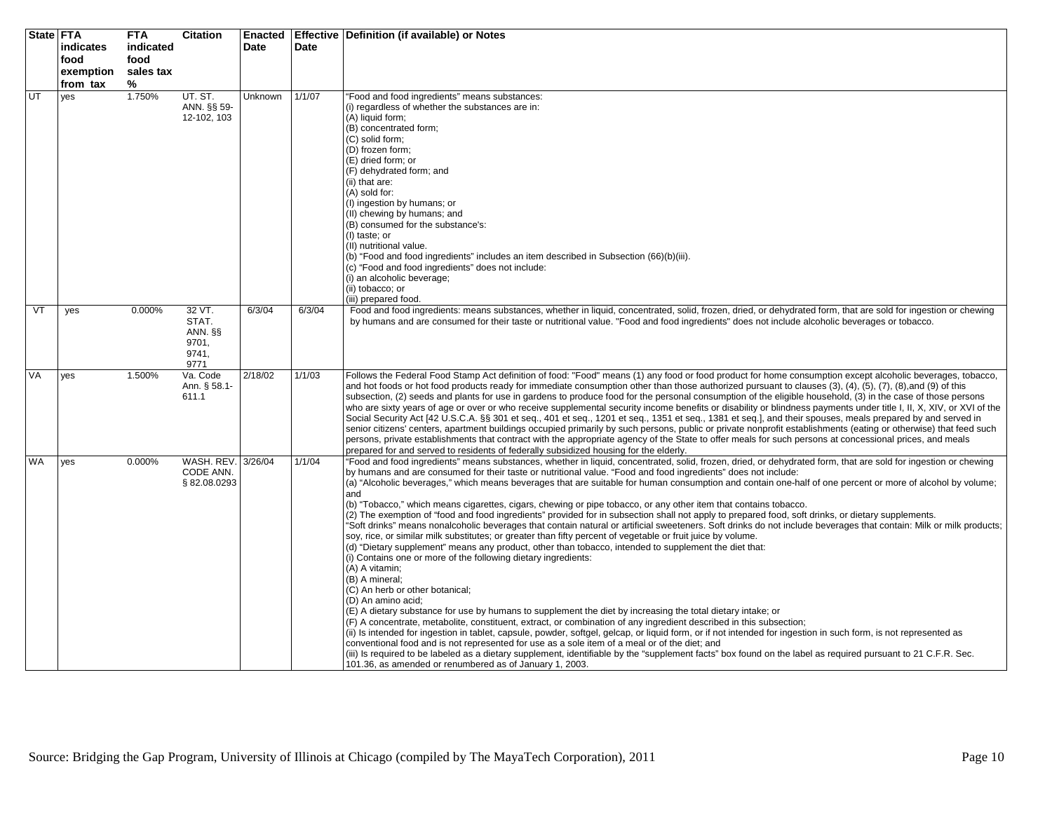|           | State FTA | <b>FTA</b> | <b>Citation</b>          | <b>Enacted</b> |        | Effective   Definition (if available) or Notes                                                                                                                                                                                                                                                                            |
|-----------|-----------|------------|--------------------------|----------------|--------|---------------------------------------------------------------------------------------------------------------------------------------------------------------------------------------------------------------------------------------------------------------------------------------------------------------------------|
|           | indicates | indicated  |                          | <b>Date</b>    | Date   |                                                                                                                                                                                                                                                                                                                           |
|           | food      | food       |                          |                |        |                                                                                                                                                                                                                                                                                                                           |
|           | exemption | sales tax  |                          |                |        |                                                                                                                                                                                                                                                                                                                           |
|           | from tax  | %          |                          |                |        |                                                                                                                                                                                                                                                                                                                           |
| UT        | yes       | 1.750%     | UT. ST.                  | Unknown        | 1/1/07 | "Food and food ingredients" means substances:                                                                                                                                                                                                                                                                             |
|           |           |            | ANN. §§ 59-              |                |        | (i) regardless of whether the substances are in:                                                                                                                                                                                                                                                                          |
|           |           |            | 12-102, 103              |                |        | (A) liquid form;                                                                                                                                                                                                                                                                                                          |
|           |           |            |                          |                |        | (B) concentrated form;                                                                                                                                                                                                                                                                                                    |
|           |           |            |                          |                |        | (C) solid form;                                                                                                                                                                                                                                                                                                           |
|           |           |            |                          |                |        | (D) frozen form;                                                                                                                                                                                                                                                                                                          |
|           |           |            |                          |                |        | (E) dried form; or                                                                                                                                                                                                                                                                                                        |
|           |           |            |                          |                |        | (F) dehydrated form; and                                                                                                                                                                                                                                                                                                  |
|           |           |            |                          |                |        | (ii) that are:<br>(A) sold for:                                                                                                                                                                                                                                                                                           |
|           |           |            |                          |                |        | (I) ingestion by humans; or                                                                                                                                                                                                                                                                                               |
|           |           |            |                          |                |        | (II) chewing by humans; and                                                                                                                                                                                                                                                                                               |
|           |           |            |                          |                |        | (B) consumed for the substance's:                                                                                                                                                                                                                                                                                         |
|           |           |            |                          |                |        | (I) taste; or                                                                                                                                                                                                                                                                                                             |
|           |           |            |                          |                |        | (II) nutritional value.                                                                                                                                                                                                                                                                                                   |
|           |           |            |                          |                |        | (b) "Food and food ingredients" includes an item described in Subsection (66)(b)(iii).                                                                                                                                                                                                                                    |
|           |           |            |                          |                |        | (c) "Food and food ingredients" does not include:                                                                                                                                                                                                                                                                         |
|           |           |            |                          |                |        | (i) an alcoholic beverage;<br>(ii) tobacco; or                                                                                                                                                                                                                                                                            |
|           |           |            |                          |                |        | (iii) prepared food.                                                                                                                                                                                                                                                                                                      |
| VT        | yes       | 0.000%     | 32 VT.                   | 6/3/04         | 6/3/04 | Food and food ingredients: means substances, whether in liquid, concentrated, solid, frozen, dried, or dehydrated form, that are sold for ingestion or chewing                                                                                                                                                            |
|           |           |            | STAT.                    |                |        | by humans and are consumed for their taste or nutritional value. "Food and food ingredients" does not include alcoholic beverages or tobacco.                                                                                                                                                                             |
|           |           |            | ANN. §§                  |                |        |                                                                                                                                                                                                                                                                                                                           |
|           |           |            | 9701,                    |                |        |                                                                                                                                                                                                                                                                                                                           |
|           |           |            | 9741,                    |                |        |                                                                                                                                                                                                                                                                                                                           |
|           |           |            | 9771                     |                |        |                                                                                                                                                                                                                                                                                                                           |
| VA        | yes       | 1.500%     | Va. Code<br>Ann. § 58.1- | 2/18/02        | 1/1/03 | Follows the Federal Food Stamp Act definition of food: "Food" means (1) any food or food product for home consumption except alcoholic beverages, tobacco,<br>and hot foods or hot food products ready for immediate consumption other than those authorized pursuant to clauses (3), (4), (5), (7), (8), and (9) of this |
|           |           |            | 611.1                    |                |        | subsection, (2) seeds and plants for use in gardens to produce food for the personal consumption of the eligible household, (3) in the case of those persons                                                                                                                                                              |
|           |           |            |                          |                |        | who are sixty years of age or over or who receive supplemental security income benefits or disability or blindness payments under title I, II, X, XIV, or XVI of the                                                                                                                                                      |
|           |           |            |                          |                |        | Social Security Act [42 U.S.C.A. §§ 301 et seq., 401 et seq., 1201 et seq., 1351 et seq., 1381 et seq.], and their spouses, meals prepared by and served in                                                                                                                                                               |
|           |           |            |                          |                |        | senior citizens' centers, apartment buildings occupied primarily by such persons, public or private nonprofit establishments (eating or otherwise) that feed such                                                                                                                                                         |
|           |           |            |                          |                |        | persons, private establishments that contract with the appropriate agency of the State to offer meals for such persons at concessional prices, and meals                                                                                                                                                                  |
|           |           |            |                          |                |        | prepared for and served to residents of federally subsidized housing for the elderly.                                                                                                                                                                                                                                     |
| <b>WA</b> | yes       | 0.000%     | WASH. REV. 3/26/04       |                | 1/1/04 | "Food and food ingredients" means substances, whether in liquid, concentrated, solid, frozen, dried, or dehydrated form, that are sold for ingestion or chewing                                                                                                                                                           |
|           |           |            | CODE ANN.                |                |        | by humans and are consumed for their taste or nutritional value. "Food and food ingredients" does not include:                                                                                                                                                                                                            |
|           |           |            | §82.08.0293              |                |        | (a) "Alcoholic beverages," which means beverages that are suitable for human consumption and contain one-half of one percent or more of alcohol by volume;<br>and                                                                                                                                                         |
|           |           |            |                          |                |        | (b) "Tobacco," which means cigarettes, cigars, chewing or pipe tobacco, or any other item that contains tobacco.                                                                                                                                                                                                          |
|           |           |            |                          |                |        | (2) The exemption of "food and food ingredients" provided for in subsection shall not apply to prepared food, soft drinks, or dietary supplements.                                                                                                                                                                        |
|           |           |            |                          |                |        | "Soft drinks" means nonalcoholic beverages that contain natural or artificial sweeteners. Soft drinks do not include beverages that contain: Milk or milk products;                                                                                                                                                       |
|           |           |            |                          |                |        | soy, rice, or similar milk substitutes; or greater than fifty percent of vegetable or fruit juice by volume.                                                                                                                                                                                                              |
|           |           |            |                          |                |        | (d) "Dietary supplement" means any product, other than tobacco, intended to supplement the diet that:                                                                                                                                                                                                                     |
|           |           |            |                          |                |        | (i) Contains one or more of the following dietary ingredients:                                                                                                                                                                                                                                                            |
|           |           |            |                          |                |        | (A) A vitamin;<br>(B) A mineral;                                                                                                                                                                                                                                                                                          |
|           |           |            |                          |                |        | (C) An herb or other botanical;                                                                                                                                                                                                                                                                                           |
|           |           |            |                          |                |        | (D) An amino acid;                                                                                                                                                                                                                                                                                                        |
|           |           |            |                          |                |        | (E) A dietary substance for use by humans to supplement the diet by increasing the total dietary intake; or                                                                                                                                                                                                               |
|           |           |            |                          |                |        | (F) A concentrate, metabolite, constituent, extract, or combination of any ingredient described in this subsection;                                                                                                                                                                                                       |
|           |           |            |                          |                |        | (ii) Is intended for ingestion in tablet, capsule, powder, softgel, gelcap, or liquid form, or if not intended for ingestion in such form, is not represented as                                                                                                                                                          |
|           |           |            |                          |                |        | conventional food and is not represented for use as a sole item of a meal or of the diet; and                                                                                                                                                                                                                             |
|           |           |            |                          |                |        | (iii) Is required to be labeled as a dietary supplement, identifiable by the "supplement facts" box found on the label as required pursuant to 21 C.F.R. Sec.                                                                                                                                                             |
|           |           |            |                          |                |        | 101.36, as amended or renumbered as of January 1, 2003.                                                                                                                                                                                                                                                                   |